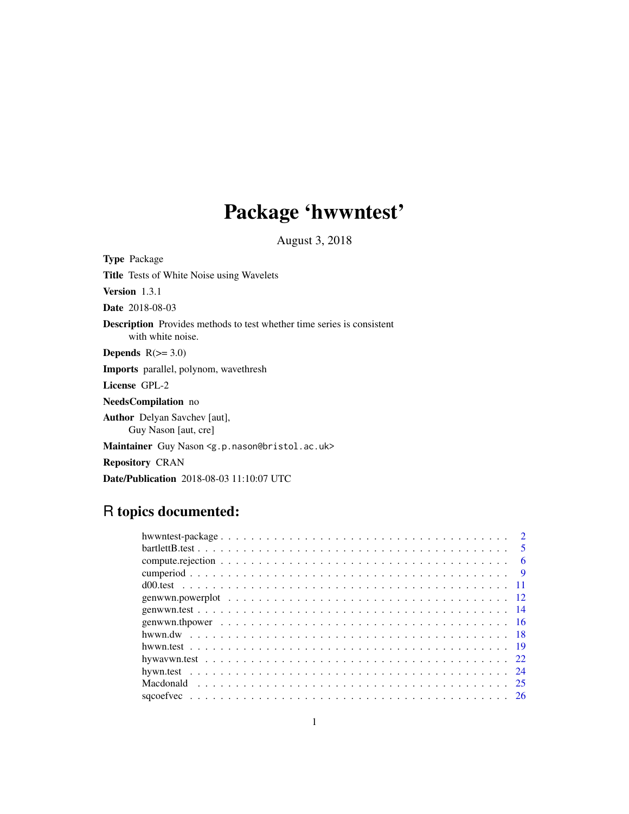# Package 'hwwntest'

August 3, 2018

<span id="page-0-0"></span>Type Package Title Tests of White Noise using Wavelets Version 1.3.1 Date 2018-08-03 Description Provides methods to test whether time series is consistent with white noise. Depends  $R(>= 3.0)$ Imports parallel, polynom, wavethresh License GPL-2 NeedsCompilation no Author Delyan Savchev [aut], Guy Nason [aut, cre] Maintainer Guy Nason <g.p.nason@bristol.ac.uk> Repository CRAN

# R topics documented:

Date/Publication 2018-08-03 11:10:07 UTC

|  |  |  |  |  |  |  |  |  |  |  |  |  |  |  |  |  |  |  | - 6 |
|--|--|--|--|--|--|--|--|--|--|--|--|--|--|--|--|--|--|--|-----|
|  |  |  |  |  |  |  |  |  |  |  |  |  |  |  |  |  |  |  |     |
|  |  |  |  |  |  |  |  |  |  |  |  |  |  |  |  |  |  |  |     |
|  |  |  |  |  |  |  |  |  |  |  |  |  |  |  |  |  |  |  |     |
|  |  |  |  |  |  |  |  |  |  |  |  |  |  |  |  |  |  |  |     |
|  |  |  |  |  |  |  |  |  |  |  |  |  |  |  |  |  |  |  |     |
|  |  |  |  |  |  |  |  |  |  |  |  |  |  |  |  |  |  |  |     |
|  |  |  |  |  |  |  |  |  |  |  |  |  |  |  |  |  |  |  |     |
|  |  |  |  |  |  |  |  |  |  |  |  |  |  |  |  |  |  |  |     |
|  |  |  |  |  |  |  |  |  |  |  |  |  |  |  |  |  |  |  |     |
|  |  |  |  |  |  |  |  |  |  |  |  |  |  |  |  |  |  |  |     |
|  |  |  |  |  |  |  |  |  |  |  |  |  |  |  |  |  |  |  |     |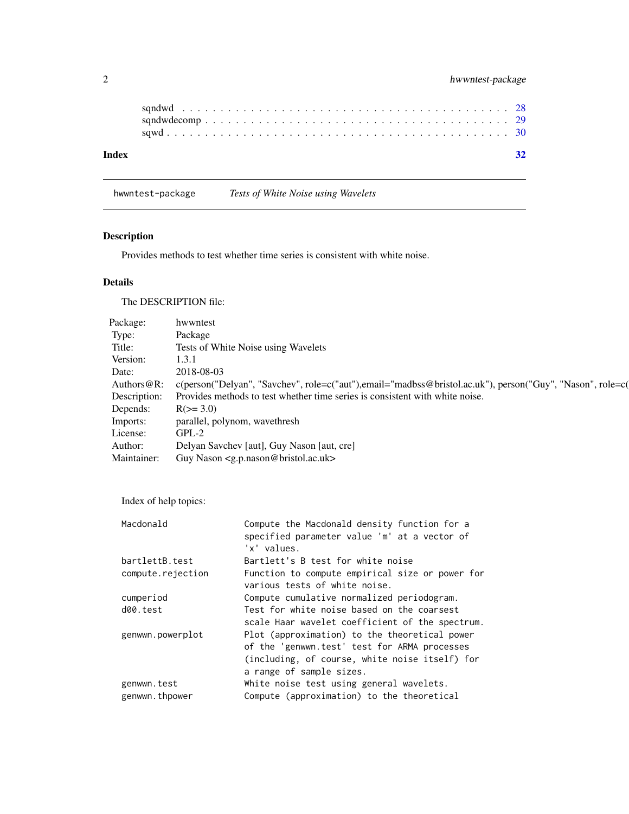<span id="page-1-0"></span>

| Index |  |
|-------|--|
|       |  |
|       |  |

hwwntest-package *Tests of White Noise using Wavelets*

# Description

Provides methods to test whether time series is consistent with white noise.

# Details

The DESCRIPTION file:

| Package:       | hwwntest                                                                                                  |
|----------------|-----------------------------------------------------------------------------------------------------------|
| Type:          | Package                                                                                                   |
| Title:         | Tests of White Noise using Wavelets                                                                       |
| Version:       | 1.3.1                                                                                                     |
| Date:          | 2018-08-03                                                                                                |
| Authors $@R$ : | c(person("Delyan", "Savchev", role=c("aut"),email="madbss@bristol.ac.uk"), person("Guy", "Nason", role=c( |
| Description:   | Provides methods to test whether time series is consistent with white noise.                              |
| Depends:       | $R(>= 3.0)$                                                                                               |
| Imports:       | parallel, polynom, wavethresh                                                                             |
| License:       | $GPL-2$                                                                                                   |
| Author:        | Delyan Savchev [aut], Guy Nason [aut, cre]                                                                |
| Maintainer:    | Guy Nason <g.p.nason@bristol.ac.uk></g.p.nason@bristol.ac.uk>                                             |

Index of help topics:

| Macdonald         | Compute the Macdonald density function for a<br>specified parameter value 'm' at a vector of |
|-------------------|----------------------------------------------------------------------------------------------|
|                   | 'x' values.                                                                                  |
| bartlettB.test    | Bartlett's B test for white noise                                                            |
| compute.rejection | Function to compute empirical size or power for                                              |
|                   | various tests of white noise.                                                                |
| cumperiod         | Compute cumulative normalized periodogram.                                                   |
| d00.test          | Test for white noise based on the coarsest                                                   |
|                   | scale Haar wavelet coefficient of the spectrum.                                              |
| genwwn.powerplot  | Plot (approximation) to the theoretical power                                                |
|                   | of the 'genwwn.test' test for ARMA processes                                                 |
|                   | (including, of course, white noise itself) for                                               |
|                   | a range of sample sizes.                                                                     |
| genwwn.test       | White noise test using general wavelets.                                                     |
| genwwn.thpower    | Compute (approximation) to the theoretical                                                   |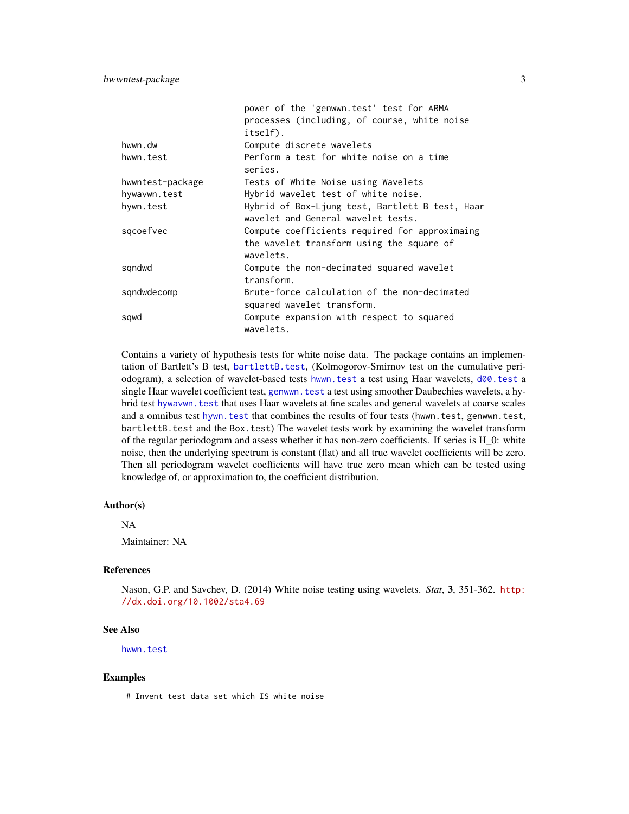# <span id="page-2-0"></span>hwwntest-package 3

|                  | power of the 'genwwn.test' test for ARMA                                                                 |
|------------------|----------------------------------------------------------------------------------------------------------|
|                  | processes (including, of course, white noise                                                             |
|                  | itself).                                                                                                 |
| hwwn.dw          | Compute discrete wavelets                                                                                |
| hwwn.test        | Perform a test for white noise on a time<br>series.                                                      |
| hwwntest-package | Tests of White Noise using Wavelets                                                                      |
| hywavwn.test     | Hybrid wavelet test of white noise.                                                                      |
| hywn.test        | Hybrid of Box-Ljung test, Bartlett B test, Haar<br>wavelet and General wavelet tests.                    |
| sqcoefvec        | Compute coefficients required for approximaing<br>the wavelet transform using the square of<br>wavelets. |
| sqndwd           | Compute the non-decimated squared wavelet<br>transform.                                                  |
| sqndwdecomp      | Brute-force calculation of the non-decimated<br>squared wavelet transform.                               |
| sqwd             | Compute expansion with respect to squared<br>wavelets.                                                   |

Contains a variety of hypothesis tests for white noise data. The package contains an implementation of Bartlett's B test, [bartlettB.test](#page-4-1), (Kolmogorov-Smirnov test on the cumulative periodogram), a selection of wavelet-based tests [hwwn.test](#page-18-1) a test using Haar wavelets, [d00.test](#page-10-1) a single Haar wavelet coefficient test, [genwwn.test](#page-13-1) a test using smoother Daubechies wavelets, a hybrid test [hywavwn.test](#page-21-1) that uses Haar wavelets at fine scales and general wavelets at coarse scales and a omnibus test [hywn.test](#page-23-1) that combines the results of four tests (hwwn.test, genwwn.test, bartlettB.test and the Box.test) The wavelet tests work by examining the wavelet transform of the regular periodogram and assess whether it has non-zero coefficients. If series is H\_0: white noise, then the underlying spectrum is constant (flat) and all true wavelet coefficients will be zero. Then all periodogram wavelet coefficients will have true zero mean which can be tested using knowledge of, or approximation to, the coefficient distribution.

#### Author(s)

NA

Maintainer: NA

# References

Nason, G.P. and Savchev, D. (2014) White noise testing using wavelets. *Stat*, 3, 351-362. [http:](http://dx.doi.org/10.1002/sta4.69) [//dx.doi.org/10.1002/sta4.69](http://dx.doi.org/10.1002/sta4.69)

#### See Also

[hwwn.test](#page-18-1)

#### Examples

# Invent test data set which IS white noise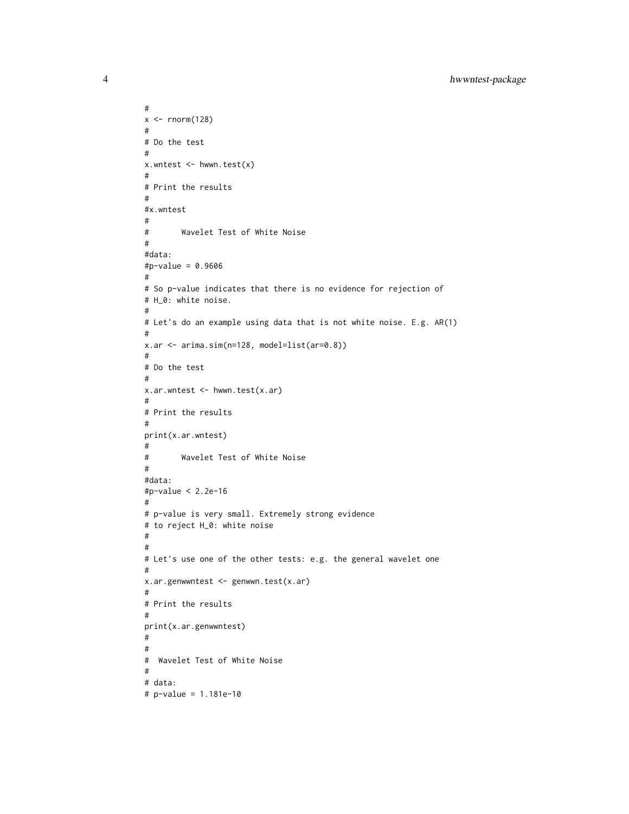```
#
x \leftarrow \text{norm}(128)#
# Do the test
#
x.wntest <- hwwn.test(x)
#
# Print the results
#
#x.wntest
#
# Wavelet Test of White Noise
#
#data:
#p-value = 0.9606
#
# So p-value indicates that there is no evidence for rejection of
# H_0: white noise.
#
# Let's do an example using data that is not white noise. E.g. AR(1)
#
x.ar <- arima.sim(n=128, model=list(ar=0.8))
#
# Do the test
#
x.ar.wntest <- hwwn.test(x.ar)
#
# Print the results
#
print(x.ar.wntest)
#
# Wavelet Test of White Noise
#
#data:
#p-value < 2.2e-16
#
# p-value is very small. Extremely strong evidence
# to reject H_0: white noise
#
#
# Let's use one of the other tests: e.g. the general wavelet one
#
x.ar.genwwntest <- genwwn.test(x.ar)
#
# Print the results
#
print(x.ar.genwwntest)
#
#
# Wavelet Test of White Noise
#
# data:
# p-value = 1.181e-10
```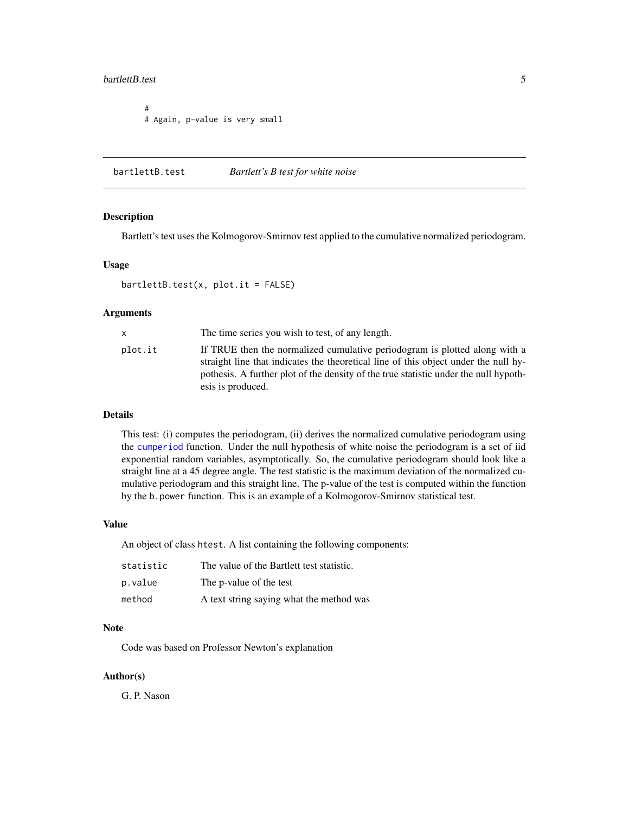#### <span id="page-4-0"></span>bartlettB.test 5

# # Again, p-value is very small

<span id="page-4-1"></span>bartlettB.test *Bartlett's B test for white noise*

#### Description

Bartlett's test uses the Kolmogorov-Smirnov test applied to the cumulative normalized periodogram.

#### Usage

 $bartletB.test(x, plot.it = FALSE)$ 

# Arguments

| X       | The time series you wish to test, of any length.                                                                                                                                                                                                                               |
|---------|--------------------------------------------------------------------------------------------------------------------------------------------------------------------------------------------------------------------------------------------------------------------------------|
| plot.it | If TRUE then the normalized cumulative periodogram is plotted along with a<br>straight line that indicates the theoretical line of this object under the null hy-<br>pothesis. A further plot of the density of the true statistic under the null hypoth-<br>esis is produced. |
|         |                                                                                                                                                                                                                                                                                |

#### Details

This test: (i) computes the periodogram, (ii) derives the normalized cumulative periodogram using the [cumperiod](#page-8-1) function. Under the null hypothesis of white noise the periodogram is a set of iid exponential random variables, asymptotically. So, the cumulative periodogram should look like a straight line at a 45 degree angle. The test statistic is the maximum deviation of the normalized cumulative periodogram and this straight line. The p-value of the test is computed within the function by the b.power function. This is an example of a Kolmogorov-Smirnov statistical test.

# Value

An object of class htest. A list containing the following components:

| statistic | The value of the Bartlett test statistic. |
|-----------|-------------------------------------------|
| p.value   | The p-value of the test                   |
| method    | A text string saying what the method was  |

# Note

Code was based on Professor Newton's explanation

#### Author(s)

G. P. Nason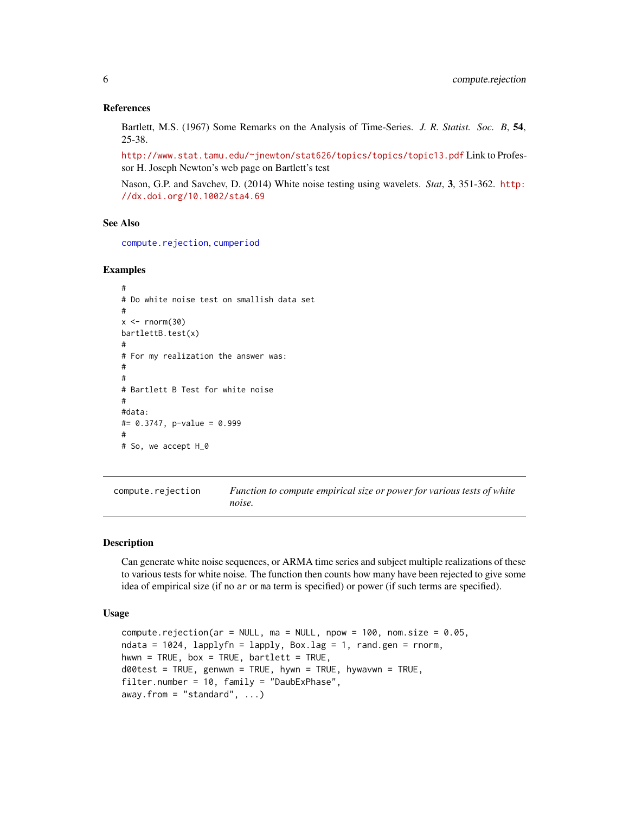#### References

Bartlett, M.S. (1967) Some Remarks on the Analysis of Time-Series. *J. R. Statist. Soc. B*, 54, 25-38.

<http://www.stat.tamu.edu/~jnewton/stat626/topics/topics/topic13.pdf> Link to Professor H. Joseph Newton's web page on Bartlett's test

Nason, G.P. and Savchev, D. (2014) White noise testing using wavelets. *Stat*, 3, 351-362. [http:](http://dx.doi.org/10.1002/sta4.69) [//dx.doi.org/10.1002/sta4.69](http://dx.doi.org/10.1002/sta4.69)

#### See Also

[compute.rejection](#page-5-1), [cumperiod](#page-8-1)

#### Examples

```
#
# Do white noise test on smallish data set
#
x < - rnorm(30)
bartlettB.test(x)
#
# For my realization the answer was:
#
#
# Bartlett B Test for white noise
#
#data:
#= 0.3747, p-value = 0.999
#
# So, we accept H_0
```
<span id="page-5-1"></span>compute.rejection *Function to compute empirical size or power for various tests of white noise.*

#### Description

Can generate white noise sequences, or ARMA time series and subject multiple realizations of these to various tests for white noise. The function then counts how many have been rejected to give some idea of empirical size (if no ar or ma term is specified) or power (if such terms are specified).

#### Usage

```
compute.rejection(ar = NULL, ma = NULL, npow = 100, nom.size = 0.05,
ndata = 1024, lapplyfn = lapply, Box.lag = 1, rand.gen = rnorm,
hwwn = TRUE, box = TRUE, bartlett = TRUE,
d00test = TRUE, genwwn = TRUE, hywn = TRUE, hywavwn = TRUE,
filter.number = 10, family = "DaubExPhase",
away. from = "standard", \ldots)
```
<span id="page-5-0"></span>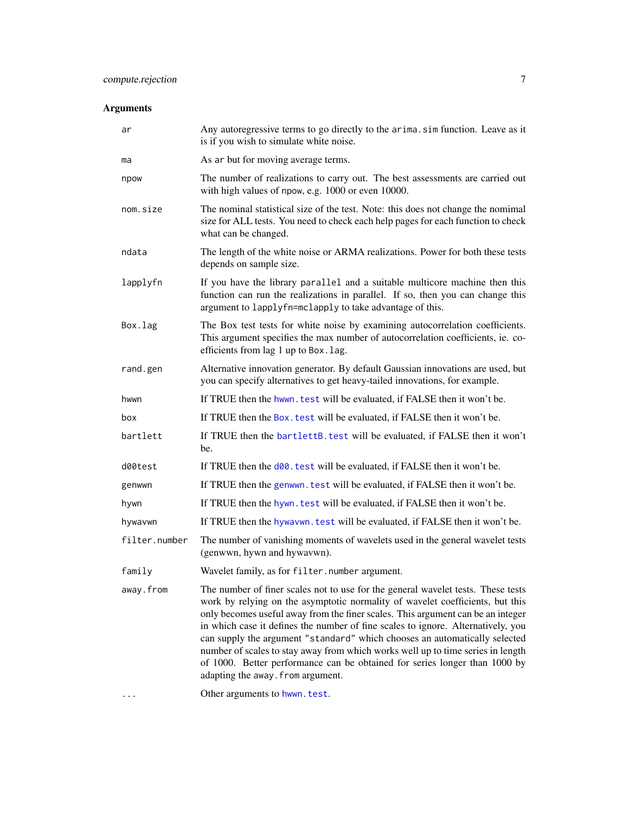<span id="page-6-0"></span>

| ar            | Any autoregressive terms to go directly to the arima. sim function. Leave as it<br>is if you wish to simulate white noise.                                                                                                                                                                                                                                                                                                                                                                                                                                                                                                   |
|---------------|------------------------------------------------------------------------------------------------------------------------------------------------------------------------------------------------------------------------------------------------------------------------------------------------------------------------------------------------------------------------------------------------------------------------------------------------------------------------------------------------------------------------------------------------------------------------------------------------------------------------------|
| ma            | As ar but for moving average terms.                                                                                                                                                                                                                                                                                                                                                                                                                                                                                                                                                                                          |
| npow          | The number of realizations to carry out. The best assessments are carried out<br>with high values of npow, e.g. 1000 or even 10000.                                                                                                                                                                                                                                                                                                                                                                                                                                                                                          |
| nom.size      | The nominal statistical size of the test. Note: this does not change the nomimal<br>size for ALL tests. You need to check each help pages for each function to check<br>what can be changed.                                                                                                                                                                                                                                                                                                                                                                                                                                 |
| ndata         | The length of the white noise or ARMA realizations. Power for both these tests<br>depends on sample size.                                                                                                                                                                                                                                                                                                                                                                                                                                                                                                                    |
| lapplyfn      | If you have the library parallel and a suitable multicore machine then this<br>function can run the realizations in parallel. If so, then you can change this<br>argument to lapplyfn=mclapply to take advantage of this.                                                                                                                                                                                                                                                                                                                                                                                                    |
| Box.lag       | The Box test tests for white noise by examining autocorrelation coefficients.<br>This argument specifies the max number of autocorrelation coefficients, ie. co-<br>efficients from lag 1 up to Box. lag.                                                                                                                                                                                                                                                                                                                                                                                                                    |
| rand.gen      | Alternative innovation generator. By default Gaussian innovations are used, but<br>you can specify alternatives to get heavy-tailed innovations, for example.                                                                                                                                                                                                                                                                                                                                                                                                                                                                |
| hwwn          | If TRUE then the hwwn, test will be evaluated, if FALSE then it won't be.                                                                                                                                                                                                                                                                                                                                                                                                                                                                                                                                                    |
| box           | If TRUE then the Box. test will be evaluated, if FALSE then it won't be.                                                                                                                                                                                                                                                                                                                                                                                                                                                                                                                                                     |
| bartlett      | If TRUE then the bartlettB. test will be evaluated, if FALSE then it won't<br>be.                                                                                                                                                                                                                                                                                                                                                                                                                                                                                                                                            |
| d00test       | If TRUE then the d00. test will be evaluated, if FALSE then it won't be.                                                                                                                                                                                                                                                                                                                                                                                                                                                                                                                                                     |
| genwwn        | If TRUE then the genwwn. test will be evaluated, if FALSE then it won't be.                                                                                                                                                                                                                                                                                                                                                                                                                                                                                                                                                  |
| hywn          | If TRUE then the hywn, test will be evaluated, if FALSE then it won't be.                                                                                                                                                                                                                                                                                                                                                                                                                                                                                                                                                    |
| hywavwn       | If TRUE then the hywavwn. test will be evaluated, if FALSE then it won't be.                                                                                                                                                                                                                                                                                                                                                                                                                                                                                                                                                 |
| filter.number | The number of vanishing moments of wavelets used in the general wavelet tests<br>(genwwn, hywn and hywavwn).                                                                                                                                                                                                                                                                                                                                                                                                                                                                                                                 |
| family        | Wavelet family, as for filter. number argument.                                                                                                                                                                                                                                                                                                                                                                                                                                                                                                                                                                              |
| away.from     | The number of finer scales not to use for the general wavelet tests. These tests<br>work by relying on the asymptotic normality of wavelet coefficients, but this<br>only becomes useful away from the finer scales. This argument can be an integer<br>in which case it defines the number of fine scales to ignore. Alternatively, you<br>can supply the argument "standard" which chooses an automatically selected<br>number of scales to stay away from which works well up to time series in length<br>of 1000. Better performance can be obtained for series longer than 1000 by<br>adapting the away. from argument. |
| .             | Other arguments to hwwn.test.                                                                                                                                                                                                                                                                                                                                                                                                                                                                                                                                                                                                |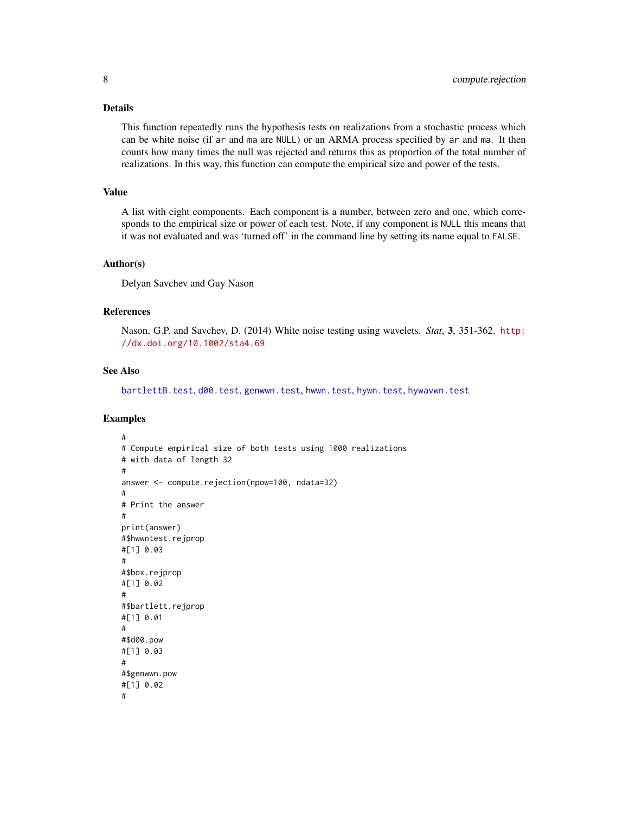#### <span id="page-7-0"></span>Details

This function repeatedly runs the hypothesis tests on realizations from a stochastic process which can be white noise (if ar and ma are NULL) or an ARMA process specified by ar and ma. It then counts how many times the null was rejected and returns this as proportion of the total number of realizations. In this way, this function can compute the empirical size and power of the tests.

#### Value

A list with eight components. Each component is a number, between zero and one, which corresponds to the empirical size or power of each test. Note, if any component is NULL this means that it was not evaluated and was 'turned off' in the command line by setting its name equal to FALSE.

#### Author(s)

Delyan Savchev and Guy Nason

# References

Nason, G.P. and Savchev, D. (2014) White noise testing using wavelets. *Stat*, 3, 351-362. [http:](http://dx.doi.org/10.1002/sta4.69) [//dx.doi.org/10.1002/sta4.69](http://dx.doi.org/10.1002/sta4.69)

#### See Also

[bartlettB.test](#page-4-1), [d00.test](#page-10-1), [genwwn.test](#page-13-1), [hwwn.test](#page-18-1), [hywn.test](#page-23-1), [hywavwn.test](#page-21-1)

#### Examples

```
#
# Compute empirical size of both tests using 1000 realizations
# with data of length 32
#
answer <- compute.rejection(npow=100, ndata=32)
#
# Print the answer
#
print(answer)
#$hwwntest.rejprop
#[1] 0.03
#
#$box.rejprop
#[1] 0.02
#
#$bartlett.rejprop
#[1] 0.01
#
#$d00.pow
#[1] 0.03
#
#$genwwn.pow
#[1] 0.02
#
```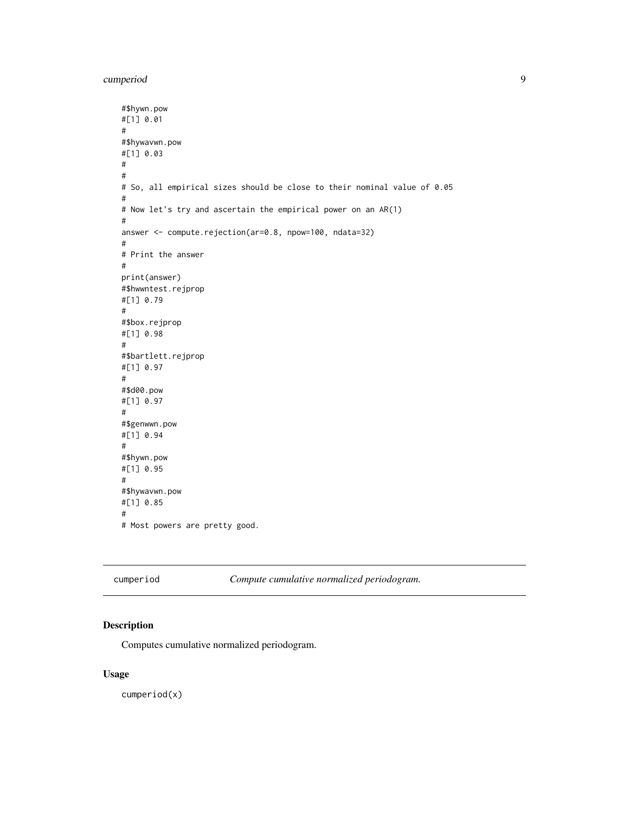<span id="page-8-0"></span>cumperiod 9

```
#$hywn.pow
#[1] 0.01
#
#$hywavwn.pow
#[1] 0.03
#
#
# So, all empirical sizes should be close to their nominal value of 0.05
#
# Now let's try and ascertain the empirical power on an AR(1)
#
answer <- compute.rejection(ar=0.8, npow=100, ndata=32)
#
# Print the answer
#
print(answer)
#$hwwntest.rejprop
#[1] 0.79
#
#$box.rejprop
#[1] 0.98
#
#$bartlett.rejprop
#[1] 0.97
#
#$d00.pow
#[1] 0.97
#
#$genwwn.pow
#[1] 0.94
#
#$hywn.pow
#[1] 0.95
#
#$hywavwn.pow
#[1] 0.85
#
# Most powers are pretty good.
```
<span id="page-8-1"></span>cumperiod *Compute cumulative normalized periodogram.*

#### Description

Computes cumulative normalized periodogram.

# Usage

cumperiod(x)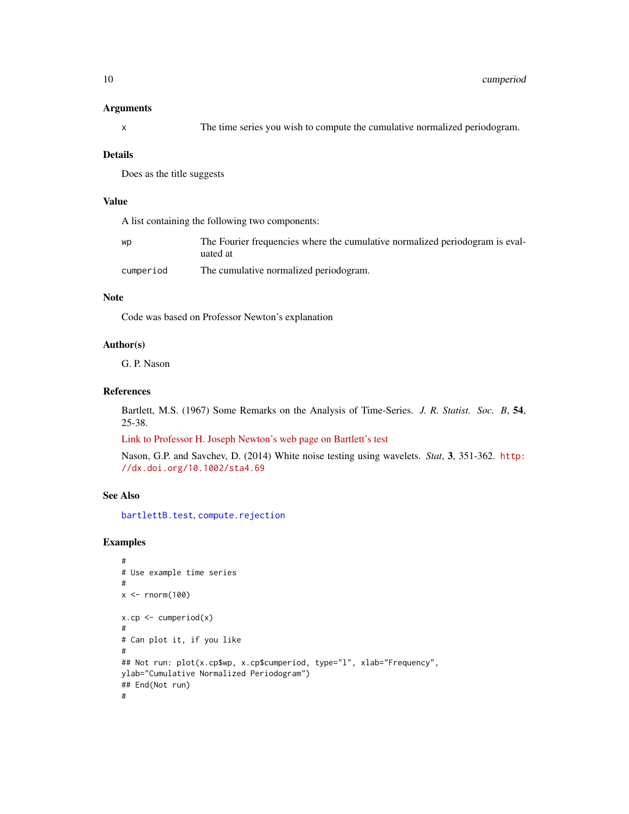#### <span id="page-9-0"></span>Arguments

|  | The time series you wish to compute the cumulative normalized periodogram. |  |  |
|--|----------------------------------------------------------------------------|--|--|
|  |                                                                            |  |  |

#### Details

Does as the title suggests

#### Value

A list containing the following two components:

| WD        | The Fourier frequencies where the cumulative normalized periodogram is eval- |
|-----------|------------------------------------------------------------------------------|
|           | uated at                                                                     |
| cumperiod | The cumulative normalized periodogram.                                       |

#### Note

Code was based on Professor Newton's explanation

# Author(s)

G. P. Nason

# References

Bartlett, M.S. (1967) Some Remarks on the Analysis of Time-Series. *J. R. Statist. Soc. B*, 54, 25-38.

[Link to Professor H. Joseph Newton's web page on Bartlett's test](http://www.stat.tamu.edu/~jnewton/stat626/topics/topics/topic13.pdf)

Nason, G.P. and Savchev, D. (2014) White noise testing using wavelets. *Stat*, 3, 351-362. [http:](http://dx.doi.org/10.1002/sta4.69) [//dx.doi.org/10.1002/sta4.69](http://dx.doi.org/10.1002/sta4.69)

# See Also

[bartlettB.test](#page-4-1), [compute.rejection](#page-5-1)

# Examples

```
#
# Use example time series
#
x < - rnorm(100)
x.cp \leftarrow \text{cumperiod}(x)#
# Can plot it, if you like
#
## Not run: plot(x.cp$wp, x.cp$cumperiod, type="l", xlab="Frequency",
ylab="Cumulative Normalized Periodogram")
## End(Not run)
#
```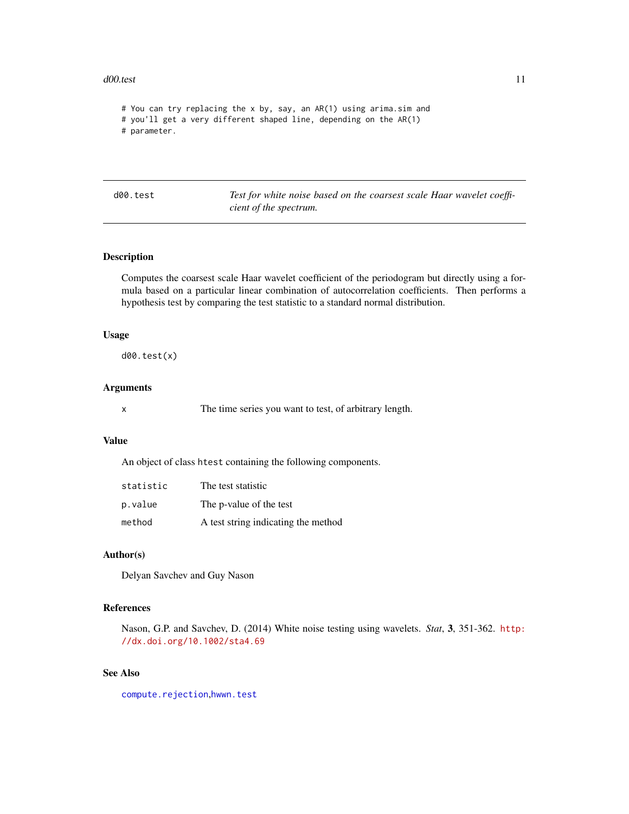#### <span id="page-10-0"></span>d00.test 11

```
# You can try replacing the x by, say, an AR(1) using arima.sim and
# you'll get a very different shaped line, depending on the AR(1)
# parameter.
```
<span id="page-10-1"></span>d00.test *Test for white noise based on the coarsest scale Haar wavelet coefficient of the spectrum.*

#### Description

Computes the coarsest scale Haar wavelet coefficient of the periodogram but directly using a formula based on a particular linear combination of autocorrelation coefficients. Then performs a hypothesis test by comparing the test statistic to a standard normal distribution.

# Usage

d00.test(x)

#### Arguments

x The time series you want to test, of arbitrary length.

# Value

An object of class htest containing the following components.

| statistic | The test statistic                  |
|-----------|-------------------------------------|
| p.value   | The p-value of the test             |
| method    | A test string indicating the method |

# Author(s)

Delyan Savchev and Guy Nason

# References

Nason, G.P. and Savchev, D. (2014) White noise testing using wavelets. *Stat*, 3, 351-362. [http:](http://dx.doi.org/10.1002/sta4.69) [//dx.doi.org/10.1002/sta4.69](http://dx.doi.org/10.1002/sta4.69)

# See Also

[compute.rejection](#page-5-1),[hwwn.test](#page-18-1)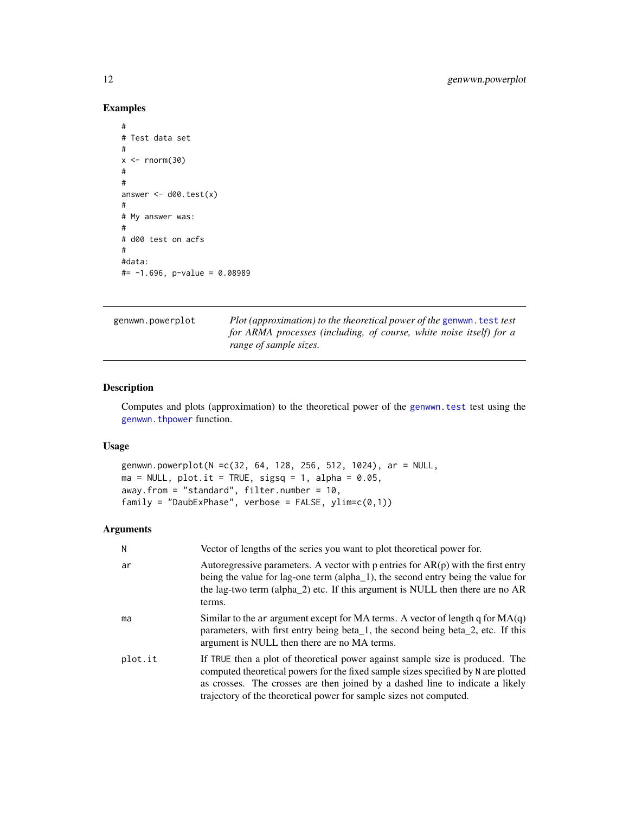# Examples

```
#
# Test data set
#
x < - rnorm(30)
#
#
answer \leq d00.test(x)
#
# My answer was:
#
# d00 test on acfs
#
#data:
#= -1.696, p-value = 0.08989
```
genwwn.powerplot *Plot (approximation) to the theoretical power of the* [genwwn.test](#page-13-1) *test for ARMA processes (including, of course, white noise itself) for a range of sample sizes.*

#### Description

Computes and plots (approximation) to the theoretical power of the [genwwn.test](#page-13-1) test using the [genwwn.thpower](#page-15-1) function.

# Usage

```
genwwn.powerplot(N =c(32, 64, 128, 256, 512, 1024), ar = NULL,
ma = NULL, plot.it = TRUE, sigsq = 1, alpha = 0.05,
away.from = "standard", filter.number = 10,
family = "DaubExPhase", verbose = FALSE, ylim=c(0,1))
```

| Ν       | Vector of lengths of the series you want to plot theoretical power for.                                                                                                                                                                                                                                                   |
|---------|---------------------------------------------------------------------------------------------------------------------------------------------------------------------------------------------------------------------------------------------------------------------------------------------------------------------------|
| ar      | Autoregressive parameters. A vector with $p$ entries for $AR(p)$ with the first entry<br>being the value for lag-one term (alpha_1), the second entry being the value for<br>the lag-two term (alpha_2) etc. If this argument is NULL then there are no AR<br>terms.                                                      |
| ma      | Similar to the ar argument except for MA terms. A vector of length q for $MA(q)$<br>parameters, with first entry being beta <sub>1</sub> , the second being beta <sub>2</sub> , etc. If this<br>argument is NULL then there are no MA terms.                                                                              |
| plot.it | If TRUE then a plot of theoretical power against sample size is produced. The<br>computed theoretical powers for the fixed sample sizes specified by N are plotted<br>as crosses. The crosses are then joined by a dashed line to indicate a likely<br>trajectory of the theoretical power for sample sizes not computed. |

<span id="page-11-0"></span>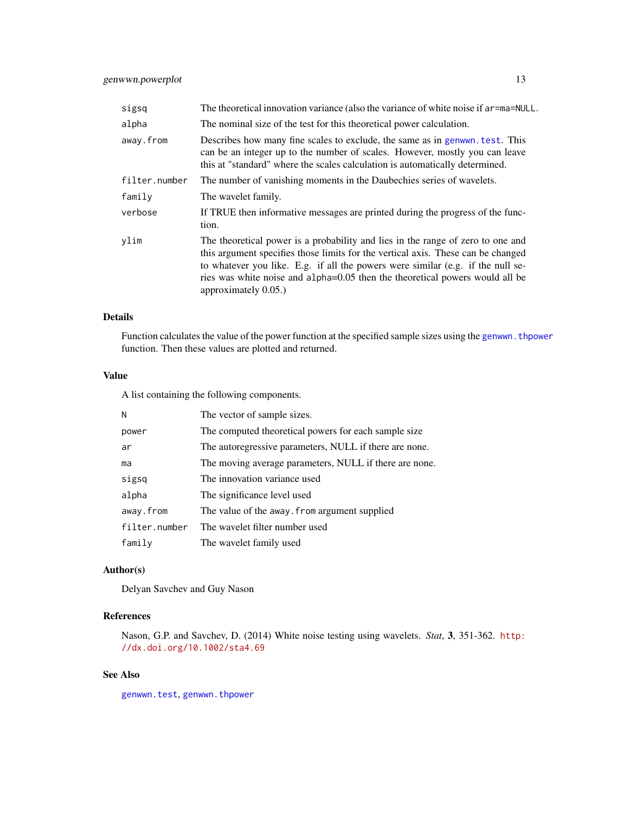<span id="page-12-0"></span>

| sigsq         | The theoretical innovation variance (also the variance of white noise if ar=ma=NULL.                                                                                                                                                                                                                                                                           |
|---------------|----------------------------------------------------------------------------------------------------------------------------------------------------------------------------------------------------------------------------------------------------------------------------------------------------------------------------------------------------------------|
| alpha         | The nominal size of the test for this theoretical power calculation.                                                                                                                                                                                                                                                                                           |
| away.from     | Describes how many fine scales to exclude, the same as in genwwn, test. This<br>can be an integer up to the number of scales. However, mostly you can leave<br>this at "standard" where the scales calculation is automatically determined.                                                                                                                    |
| filter.number | The number of vanishing moments in the Daubechies series of wavelets.                                                                                                                                                                                                                                                                                          |
| family        | The wavelet family.                                                                                                                                                                                                                                                                                                                                            |
| verbose       | If TRUE then informative messages are printed during the progress of the func-<br>tion.                                                                                                                                                                                                                                                                        |
| ylim          | The theoretical power is a probability and lies in the range of zero to one and<br>this argument specifies those limits for the vertical axis. These can be changed<br>to whatever you like. E.g. if all the powers were similar (e.g. if the null se-<br>ries was white noise and alpha=0.05 then the theoretical powers would all be<br>approximately 0.05.) |

# Details

Function calculates the value of the power function at the specified sample sizes using the [genwwn.thpower](#page-15-1) function. Then these values are plotted and returned.

# Value

A list containing the following components.

| N             | The vector of sample sizes.                            |
|---------------|--------------------------------------------------------|
| power         | The computed theoretical powers for each sample size   |
| ar            | The autoregressive parameters, NULL if there are none. |
| ma            | The moving average parameters, NULL if there are none. |
| sigsq         | The innovation variance used                           |
| alpha         | The significance level used                            |
| away.from     | The value of the away. from argument supplied          |
| filter.number | The wavelet filter number used                         |
| family        | The wavelet family used                                |

# Author(s)

Delyan Savchev and Guy Nason

# References

Nason, G.P. and Savchev, D. (2014) White noise testing using wavelets. *Stat*, 3, 351-362. [http:](http://dx.doi.org/10.1002/sta4.69) [//dx.doi.org/10.1002/sta4.69](http://dx.doi.org/10.1002/sta4.69)

# See Also

[genwwn.test](#page-13-1), [genwwn.thpower](#page-15-1)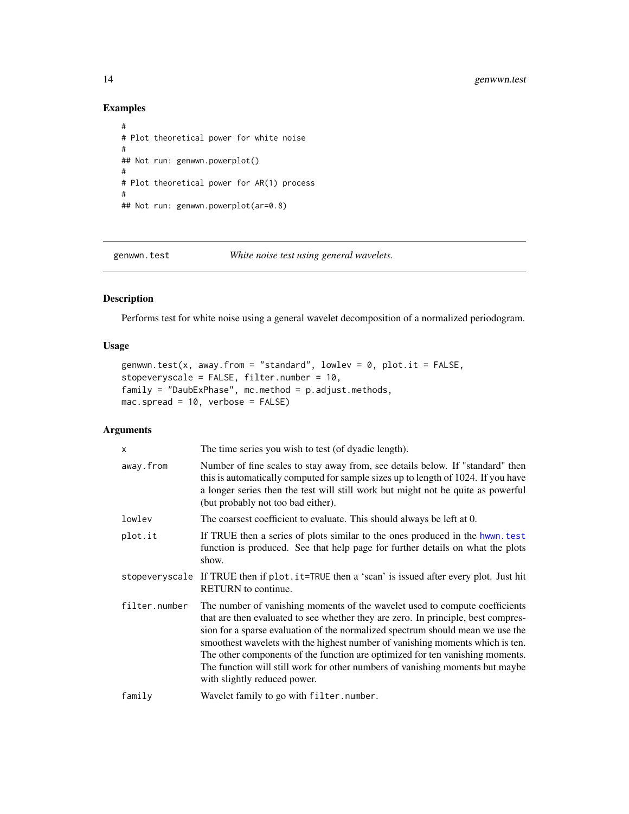# Examples

```
#
# Plot theoretical power for white noise
#
## Not run: genwwn.powerplot()
#
# Plot theoretical power for AR(1) process
#
## Not run: genwwn.powerplot(ar=0.8)
```
genwwn.test *White noise test using general wavelets.*

# Description

Performs test for white noise using a general wavelet decomposition of a normalized periodogram.

# Usage

```
genwwn.test(x, away.from = "standard", lowlev = 0, plot.it = FALSE,
stopeveryscale = FALSE, filter.number = 10,
family = "DaubExPhase", mc.method = p.adjust.methods,
mac.spread = 10, verbose = FALSE)
```

| X             | The time series you wish to test (of dyadic length).                                                                                                                                                                                                                                                                                                                                                                                                                                                                                  |
|---------------|---------------------------------------------------------------------------------------------------------------------------------------------------------------------------------------------------------------------------------------------------------------------------------------------------------------------------------------------------------------------------------------------------------------------------------------------------------------------------------------------------------------------------------------|
| away.from     | Number of fine scales to stay away from, see details below. If "standard" then<br>this is automatically computed for sample sizes up to length of 1024. If you have<br>a longer series then the test will still work but might not be quite as powerful<br>(but probably not too bad either).                                                                                                                                                                                                                                         |
| lowlev        | The coarsest coefficient to evaluate. This should always be left at 0.                                                                                                                                                                                                                                                                                                                                                                                                                                                                |
| plot.it       | If TRUE then a series of plots similar to the ones produced in the hwwn. test<br>function is produced. See that help page for further details on what the plots<br>show.                                                                                                                                                                                                                                                                                                                                                              |
|               | stopeveryscale If TRUE then if plot.it=TRUE then a 'scan' is issued after every plot. Just hit<br><b>RETURN</b> to continue.                                                                                                                                                                                                                                                                                                                                                                                                          |
| filter.number | The number of vanishing moments of the wavelet used to compute coefficients<br>that are then evaluated to see whether they are zero. In principle, best compres-<br>sion for a sparse evaluation of the normalized spectrum should mean we use the<br>smoothest wavelets with the highest number of vanishing moments which is ten.<br>The other components of the function are optimized for ten vanishing moments.<br>The function will still work for other numbers of vanishing moments but maybe<br>with slightly reduced power. |
| family        | Wavelet family to go with filter.number.                                                                                                                                                                                                                                                                                                                                                                                                                                                                                              |

<span id="page-13-0"></span>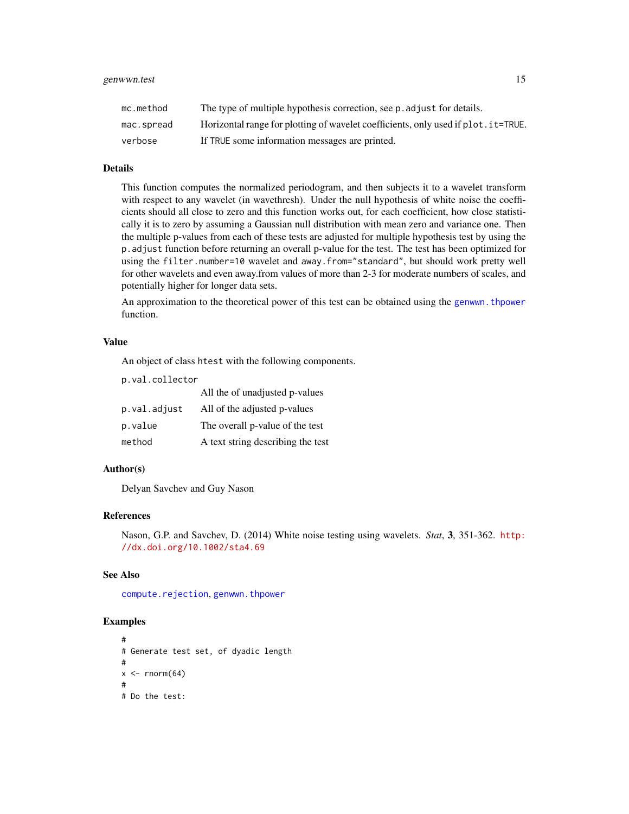<span id="page-14-0"></span>

| mc.method  | The type of multiple hypothesis correction, see p. adjust for details.             |
|------------|------------------------------------------------------------------------------------|
| mac.spread | Horizontal range for plotting of wavelet coefficients, only used if plot. it=TRUE. |
| verbose    | If TRUE some information messages are printed.                                     |

#### Details

This function computes the normalized periodogram, and then subjects it to a wavelet transform with respect to any wavelet (in wavethresh). Under the null hypothesis of white noise the coefficients should all close to zero and this function works out, for each coefficient, how close statistically it is to zero by assuming a Gaussian null distribution with mean zero and variance one. Then the multiple p-values from each of these tests are adjusted for multiple hypothesis test by using the p.adjust function before returning an overall p-value for the test. The test has been optimized for using the filter.number=10 wavelet and away.from="standard", but should work pretty well for other wavelets and even away.from values of more than 2-3 for moderate numbers of scales, and potentially higher for longer data sets.

An approximation to the theoretical power of this test can be obtained using the [genwwn.thpower](#page-15-1) function.

#### Value

An object of class htest with the following components.

p.val.collector

|              | All the of unadjusted p-values    |
|--------------|-----------------------------------|
| p.val.adjust | All of the adjusted p-values      |
| p.value      | The overall p-value of the test   |
| method       | A text string describing the test |

#### Author(s)

Delyan Savchev and Guy Nason

#### References

Nason, G.P. and Savchev, D. (2014) White noise testing using wavelets. *Stat*, 3, 351-362. [http:](http://dx.doi.org/10.1002/sta4.69) [//dx.doi.org/10.1002/sta4.69](http://dx.doi.org/10.1002/sta4.69)

### See Also

[compute.rejection](#page-5-1), [genwwn.thpower](#page-15-1)

#### Examples

```
#
# Generate test set, of dyadic length
#
x \le - rnorm(64)
#
# Do the test:
```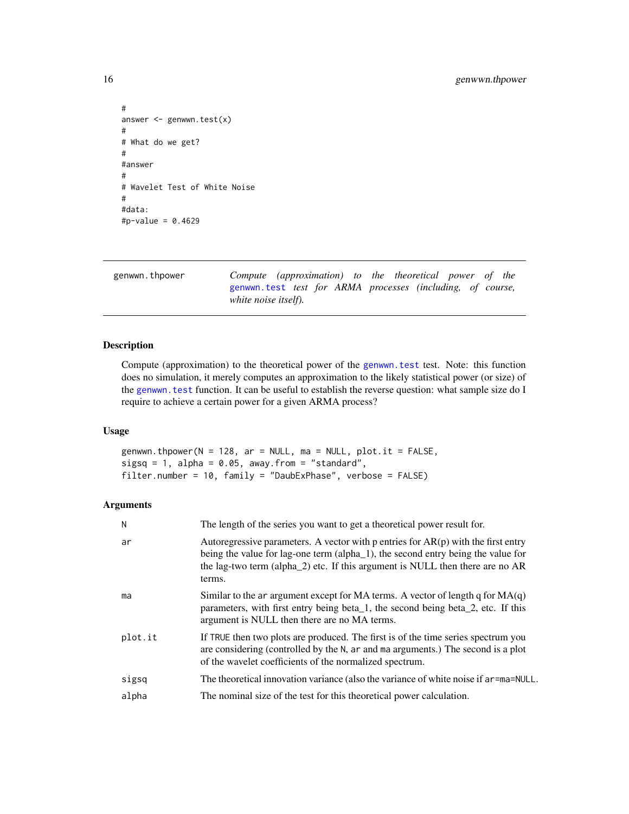```
#
answer <- genwwn.test(x)
#
# What do we get?
#
#answer
#
# Wavelet Test of White Noise
#
#data:
#p-value = 0.4629
```
<span id="page-15-1"></span>genwwn.thpower *Compute (approximation) to the theoretical power of the* [genwwn.test](#page-13-1) *test for ARMA processes (including, of course, white noise itself).*

# Description

Compute (approximation) to the theoretical power of the [genwwn.test](#page-13-1) test. Note: this function does no simulation, it merely computes an approximation to the likely statistical power (or size) of the [genwwn.test](#page-13-1) function. It can be useful to establish the reverse question: what sample size do I require to achieve a certain power for a given ARMA process?

#### Usage

genwwn.thpower(N = 128, ar = NULL, ma = NULL, plot.it = FALSE, sigsq = 1, alpha =  $0.05$ , away.from = "standard", filter.number = 10, family = "DaubExPhase", verbose = FALSE)

| N       | The length of the series you want to get a theoretical power result for.                                                                                                                                                                                           |
|---------|--------------------------------------------------------------------------------------------------------------------------------------------------------------------------------------------------------------------------------------------------------------------|
| ar      | Autoregressive parameters. A vector with p entries for $AR(p)$ with the first entry<br>being the value for lag-one term (alpha_1), the second entry being the value for<br>the lag-two term (alpha_2) etc. If this argument is NULL then there are no AR<br>terms. |
| ma      | Similar to the ar argument except for MA terms. A vector of length q for $MA(q)$<br>parameters, with first entry being beta <sub>1</sub> , the second being beta <sub>2</sub> , etc. If this<br>argument is NULL then there are no MA terms.                       |
| plot.it | If TRUE then two plots are produced. The first is of the time series spectrum you<br>are considering (controlled by the N, ar and ma arguments.) The second is a plot<br>of the wavelet coefficients of the normalized spectrum.                                   |
| sigsq   | The theoretical innovation variance (also the variance of white noise if ar=ma=NULL.                                                                                                                                                                               |
| alpha   | The nominal size of the test for this theoretical power calculation.                                                                                                                                                                                               |

<span id="page-15-0"></span>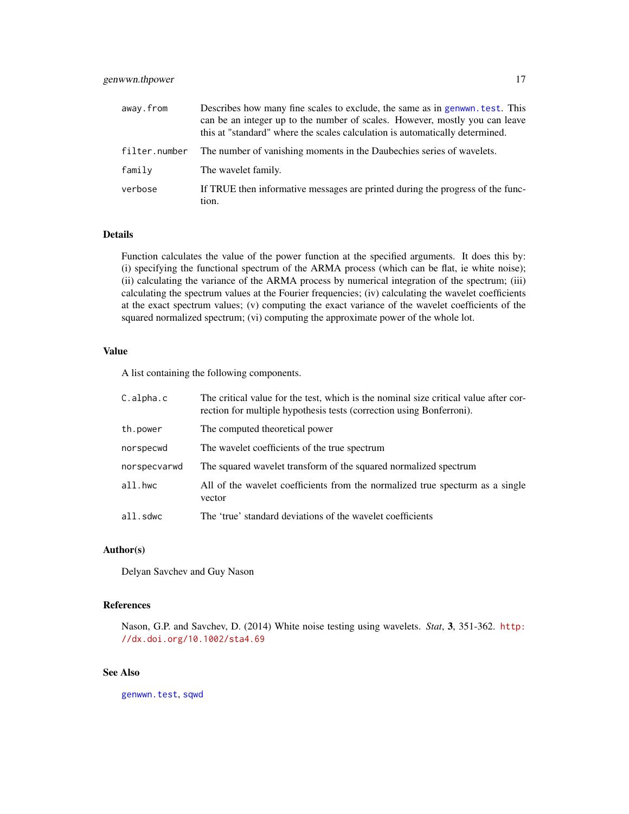# <span id="page-16-0"></span>genwwn.thpower 17

| away.from     | Describes how many fine scales to exclude, the same as in genwwn. test. This<br>can be an integer up to the number of scales. However, mostly you can leave<br>this at "standard" where the scales calculation is automatically determined. |
|---------------|---------------------------------------------------------------------------------------------------------------------------------------------------------------------------------------------------------------------------------------------|
| filter.number | The number of vanishing moments in the Daubechies series of wavelets.                                                                                                                                                                       |
| family        | The wavelet family.                                                                                                                                                                                                                         |
| verbose       | If TRUE then informative messages are printed during the progress of the func-<br>tion.                                                                                                                                                     |

# Details

Function calculates the value of the power function at the specified arguments. It does this by: (i) specifying the functional spectrum of the ARMA process (which can be flat, ie white noise); (ii) calculating the variance of the ARMA process by numerical integration of the spectrum; (iii) calculating the spectrum values at the Fourier frequencies; (iv) calculating the wavelet coefficients at the exact spectrum values; (v) computing the exact variance of the wavelet coefficients of the squared normalized spectrum; (vi) computing the approximate power of the whole lot.

# Value

A list containing the following components.

| $C$ .alpha.c | The critical value for the test, which is the nominal size critical value after cor-<br>rection for multiple hypothesis tests (correction using Bonferroni). |
|--------------|--------------------------------------------------------------------------------------------------------------------------------------------------------------|
| th.power     | The computed theoretical power                                                                                                                               |
| norspecwd    | The wavelet coefficients of the true spectrum                                                                                                                |
| norspecvarwd | The squared wavelet transform of the squared normalized spectrum                                                                                             |
| all.hwc      | All of the wavelet coefficients from the normalized true specturm as a single<br>vector                                                                      |
| all.sdwc     | The 'true' standard deviations of the wavelet coefficients                                                                                                   |

#### Author(s)

Delyan Savchev and Guy Nason

# References

Nason, G.P. and Savchev, D. (2014) White noise testing using wavelets. *Stat*, 3, 351-362. [http:](http://dx.doi.org/10.1002/sta4.69) [//dx.doi.org/10.1002/sta4.69](http://dx.doi.org/10.1002/sta4.69)

# See Also

[genwwn.test](#page-13-1), [sqwd](#page-29-1)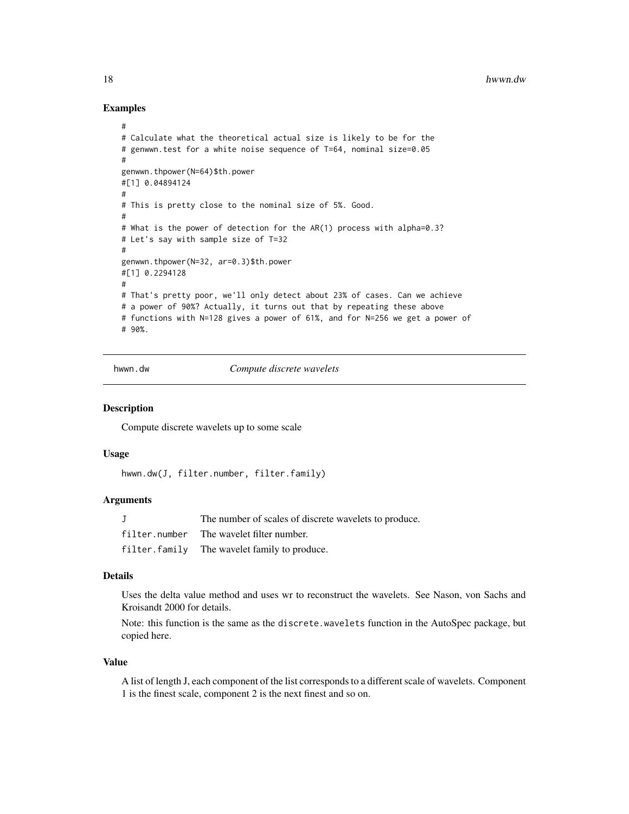# Examples

```
#
# Calculate what the theoretical actual size is likely to be for the
# genwwn.test for a white noise sequence of T=64, nominal size=0.05
#
genwwn.thpower(N=64)$th.power
#[1] 0.04894124
#
# This is pretty close to the nominal size of 5%. Good.
#
# What is the power of detection for the AR(1) process with alpha=0.3?
# Let's say with sample size of T=32
#
genwwn.thpower(N=32, ar=0.3)$th.power
#[1] 0.2294128
#
# That's pretty poor, we'll only detect about 23% of cases. Can we achieve
# a power of 90%? Actually, it turns out that by repeating these above
# functions with N=128 gives a power of 61%, and for N=256 we get a power of
# 90%.
```
<span id="page-17-1"></span>hwwn.dw *Compute discrete wavelets*

#### **Description**

Compute discrete wavelets up to some scale

#### Usage

hwwn.dw(J, filter.number, filter.family)

#### Arguments

| The number of scales of discrete wavelets to produce. |
|-------------------------------------------------------|
| filter.number The wavelet filter number.              |
| filter.family The wavelet family to produce.          |

#### Details

Uses the delta value method and uses wr to reconstruct the wavelets. See Nason, von Sachs and Kroisandt 2000 for details.

Note: this function is the same as the discrete.wavelets function in the AutoSpec package, but copied here.

#### Value

A list of length J, each component of the list corresponds to a different scale of wavelets. Component 1 is the finest scale, component 2 is the next finest and so on.

<span id="page-17-0"></span>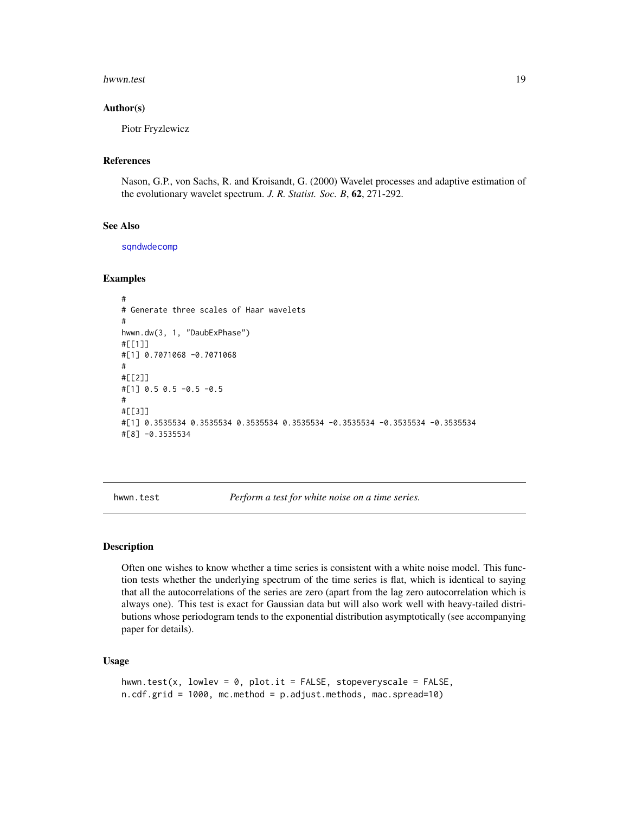#### <span id="page-18-0"></span>hwwn.test 19

#### Author(s)

Piotr Fryzlewicz

#### References

Nason, G.P., von Sachs, R. and Kroisandt, G. (2000) Wavelet processes and adaptive estimation of the evolutionary wavelet spectrum. *J. R. Statist. Soc. B*, 62, 271-292.

# See Also

[sqndwdecomp](#page-28-1)

#### Examples

```
#
# Generate three scales of Haar wavelets
#
hwwn.dw(3, 1, "DaubExPhase")
#[[1]]
#[1] 0.7071068 -0.7071068
#
#[[2]]
#[1] 0.5 0.5 -0.5 -0.5
#
#[[3]]
#[1] 0.3535534 0.3535534 0.3535534 0.3535534 -0.3535534 -0.3535534 -0.3535534
#[8] -0.3535534
```
<span id="page-18-1"></span>hwwn.test *Perform a test for white noise on a time series.*

#### Description

Often one wishes to know whether a time series is consistent with a white noise model. This function tests whether the underlying spectrum of the time series is flat, which is identical to saying that all the autocorrelations of the series are zero (apart from the lag zero autocorrelation which is always one). This test is exact for Gaussian data but will also work well with heavy-tailed distributions whose periodogram tends to the exponential distribution asymptotically (see accompanying paper for details).

#### Usage

```
hwwn.test(x, lowlev = 0, plot.it = FALSE, stopeveryscale = FALSE,
n.cdf.grid = 1000, mc.method = p.adjust.methods, mac.spread=10)
```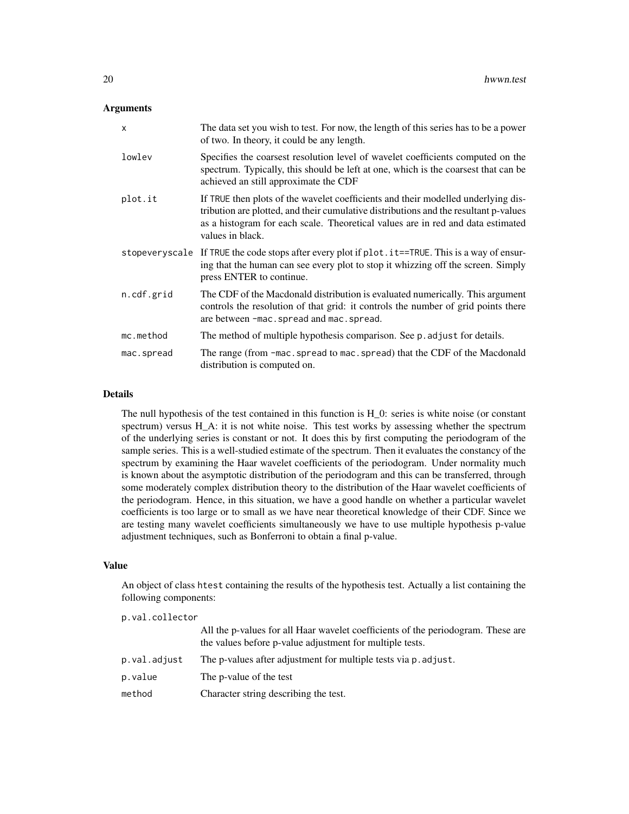#### **Arguments**

| X          | The data set you wish to test. For now, the length of this series has to be a power<br>of two. In theory, it could be any length.                                                                                                                                                |
|------------|----------------------------------------------------------------------------------------------------------------------------------------------------------------------------------------------------------------------------------------------------------------------------------|
| lowley     | Specifies the coarsest resolution level of wavelet coefficients computed on the<br>spectrum. Typically, this should be left at one, which is the coarsest that can be<br>achieved an still approximate the CDF                                                                   |
| plot.it    | If TRUE then plots of the wavelet coefficients and their modelled underlying dis-<br>tribution are plotted, and their cumulative distributions and the resultant p-values<br>as a histogram for each scale. Theoretical values are in red and data estimated<br>values in black. |
|            | stopeveryscale If TRUE the code stops after every plot if plot. it==TRUE. This is a way of ensur-<br>ing that the human can see every plot to stop it whizzing off the screen. Simply<br>press ENTER to continue.                                                                |
| n.cdf.grid | The CDF of the Macdonald distribution is evaluated numerically. This argument<br>controls the resolution of that grid: it controls the number of grid points there<br>are between -mac.spread and mac.spread.                                                                    |
| mc.method  | The method of multiple hypothesis comparison. See p. adjust for details.                                                                                                                                                                                                         |
| mac.spread | The range (from -mac. spread to mac. spread) that the CDF of the Macdonald<br>distribution is computed on.                                                                                                                                                                       |

#### Details

The null hypothesis of the test contained in this function is H\_0: series is white noise (or constant spectrum) versus H A: it is not white noise. This test works by assessing whether the spectrum of the underlying series is constant or not. It does this by first computing the periodogram of the sample series. This is a well-studied estimate of the spectrum. Then it evaluates the constancy of the spectrum by examining the Haar wavelet coefficients of the periodogram. Under normality much is known about the asymptotic distribution of the periodogram and this can be transferred, through some moderately complex distribution theory to the distribution of the Haar wavelet coefficients of the periodogram. Hence, in this situation, we have a good handle on whether a particular wavelet coefficients is too large or to small as we have near theoretical knowledge of their CDF. Since we are testing many wavelet coefficients simultaneously we have to use multiple hypothesis p-value adjustment techniques, such as Bonferroni to obtain a final p-value.

# Value

An object of class htest containing the results of the hypothesis test. Actually a list containing the following components:

| p.val.collector |                                                                                                                                              |
|-----------------|----------------------------------------------------------------------------------------------------------------------------------------------|
|                 | All the p-values for all Haar wavelet coefficients of the periodogram. These are<br>the values before p-value adjustment for multiple tests. |
| p.val.adjust    | The p-values after adjustment for multiple tests via p. adjust.                                                                              |
| p.value         | The p-value of the test                                                                                                                      |
| method          | Character string describing the test.                                                                                                        |
|                 |                                                                                                                                              |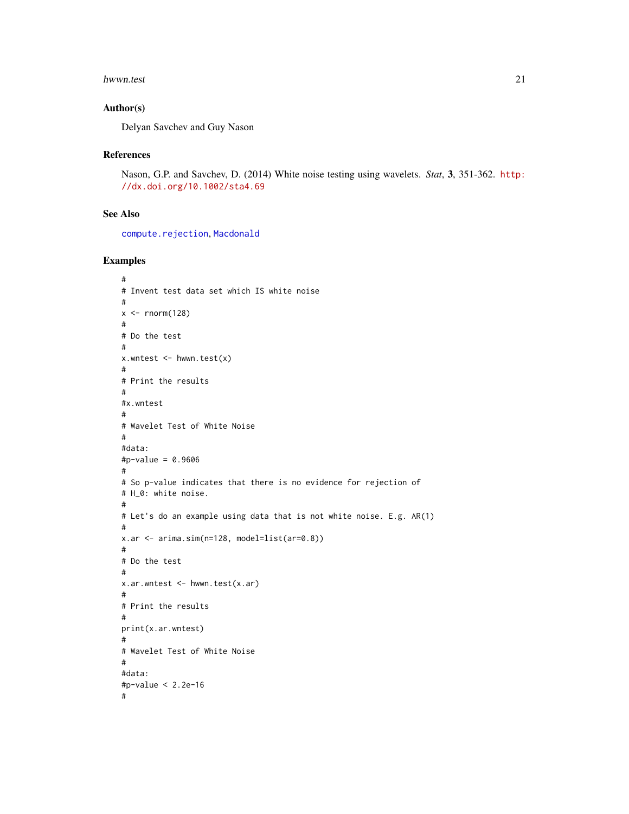#### <span id="page-20-0"></span>hwwn.test 21

#### Author(s)

Delyan Savchev and Guy Nason

#### References

Nason, G.P. and Savchev, D. (2014) White noise testing using wavelets. *Stat*, 3, 351-362. [http:](http://dx.doi.org/10.1002/sta4.69) [//dx.doi.org/10.1002/sta4.69](http://dx.doi.org/10.1002/sta4.69)

# See Also

[compute.rejection](#page-5-1), [Macdonald](#page-24-1)

# Examples

```
#
# Invent test data set which IS white noise
#
x < - rnorm(128)
#
# Do the test
#
x.wntest \leftarrow hwwn.test(x)#
# Print the results
#
#x.wntest
#
# Wavelet Test of White Noise
#
#data:
#p-value = 0.9606
#
# So p-value indicates that there is no evidence for rejection of
# H_0: white noise.
#
# Let's do an example using data that is not white noise. E.g. AR(1)
#
x.ar <- arima.sim(n=128, model=list(ar=0.8))
#
# Do the test
#
x.ar.wntest <- hwwn.test(x.ar)
#
# Print the results
#
print(x.ar.wntest)
#
# Wavelet Test of White Noise
#
#data:
#p-value < 2.2e-16
#
```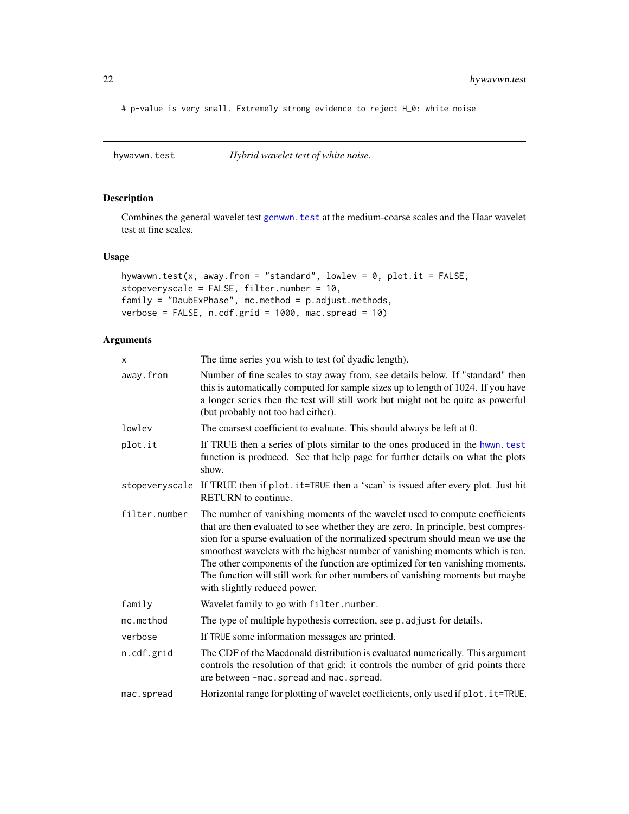<span id="page-21-0"></span># p-value is very small. Extremely strong evidence to reject H\_0: white noise

<span id="page-21-1"></span>hywavwn.test *Hybrid wavelet test of white noise.*

# Description

Combines the general wavelet test [genwwn.test](#page-13-1) at the medium-coarse scales and the Haar wavelet test at fine scales.

#### Usage

```
hywavwn.test(x, away.from = "standard", lowlev = \theta, plot.it = FALSE,
stopeveryscale = FALSE, filter.number = 10,
family = "DaubExPhase", mc.method = p.adjust.methods,
verbose = FALSE, n.cdf.grid = 1000, mac.spread = 10)
```

| x              | The time series you wish to test (of dyadic length).                                                                                                                                                                                                                                                                                                                                                                                                                                                                                  |
|----------------|---------------------------------------------------------------------------------------------------------------------------------------------------------------------------------------------------------------------------------------------------------------------------------------------------------------------------------------------------------------------------------------------------------------------------------------------------------------------------------------------------------------------------------------|
| away.from      | Number of fine scales to stay away from, see details below. If "standard" then<br>this is automatically computed for sample sizes up to length of 1024. If you have<br>a longer series then the test will still work but might not be quite as powerful<br>(but probably not too bad either).                                                                                                                                                                                                                                         |
| lowley         | The coarsest coefficient to evaluate. This should always be left at 0.                                                                                                                                                                                                                                                                                                                                                                                                                                                                |
| plot.it        | If TRUE then a series of plots similar to the ones produced in the hwwn. test<br>function is produced. See that help page for further details on what the plots<br>show.                                                                                                                                                                                                                                                                                                                                                              |
| stopeveryscale | If TRUE then if plot.it=TRUE then a 'scan' is issued after every plot. Just hit<br>RETURN to continue.                                                                                                                                                                                                                                                                                                                                                                                                                                |
| filter.number  | The number of vanishing moments of the wavelet used to compute coefficients<br>that are then evaluated to see whether they are zero. In principle, best compres-<br>sion for a sparse evaluation of the normalized spectrum should mean we use the<br>smoothest wavelets with the highest number of vanishing moments which is ten.<br>The other components of the function are optimized for ten vanishing moments.<br>The function will still work for other numbers of vanishing moments but maybe<br>with slightly reduced power. |
| family         | Wavelet family to go with filter.number.                                                                                                                                                                                                                                                                                                                                                                                                                                                                                              |
| mc.method      | The type of multiple hypothesis correction, see p. adjust for details.                                                                                                                                                                                                                                                                                                                                                                                                                                                                |
| verbose        | If TRUE some information messages are printed.                                                                                                                                                                                                                                                                                                                                                                                                                                                                                        |
| n.cdf.grid     | The CDF of the Macdonald distribution is evaluated numerically. This argument<br>controls the resolution of that grid: it controls the number of grid points there<br>are between -mac.spread and mac.spread.                                                                                                                                                                                                                                                                                                                         |
| mac.spread     | Horizontal range for plotting of wavelet coefficients, only used if plot . it=TRUE.                                                                                                                                                                                                                                                                                                                                                                                                                                                   |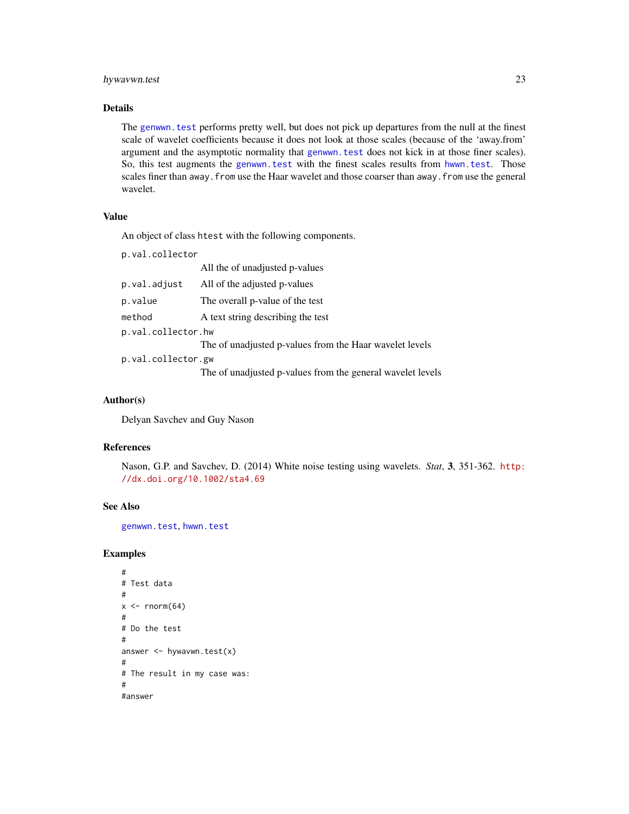# hywavwn.test 23

#### Details

The [genwwn.test](#page-13-1) performs pretty well, but does not pick up departures from the null at the finest scale of wavelet coefficients because it does not look at those scales (because of the 'away.from' argument and the asymptotic normality that [genwwn.test](#page-13-1) does not kick in at those finer scales). So, this test augments the [genwwn.test](#page-13-1) with the finest scales results from [hwwn.test](#page-18-1). Those scales finer than away. from use the Haar wavelet and those coarser than away. from use the general wavelet.

# Value

An object of class htest with the following components.

```
p.val.collector
```

|                    | All the of unadjusted p-values                             |  |
|--------------------|------------------------------------------------------------|--|
| p.val.adjust       | All of the adjusted p-values                               |  |
| p.value            | The overall p-value of the test                            |  |
| method             | A text string describing the test                          |  |
| p.val.collector.hw |                                                            |  |
|                    | The of unadjusted p-values from the Haar wavelet levels    |  |
| p.val.collector.gw |                                                            |  |
|                    | The of unadjusted p-values from the general wavelet levels |  |

# Author(s)

Delyan Savchev and Guy Nason

#### References

Nason, G.P. and Savchev, D. (2014) White noise testing using wavelets. *Stat*, 3, 351-362. [http:](http://dx.doi.org/10.1002/sta4.69) [//dx.doi.org/10.1002/sta4.69](http://dx.doi.org/10.1002/sta4.69)

#### See Also

[genwwn.test](#page-13-1), [hwwn.test](#page-18-1)

# Examples

```
#
# Test data
#
x \leftarrow \text{rnorm}(64)#
# Do the test
#
answer \leq hywavwn.test(x)
#
# The result in my case was:
#
#answer
```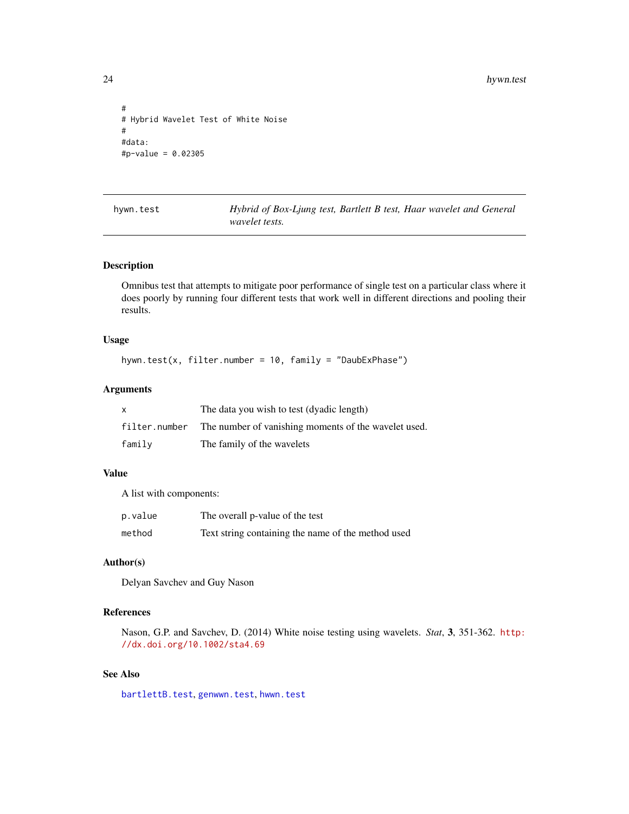```
#
# Hybrid Wavelet Test of White Noise
#
#data:
#p-value = 0.02305
```
<span id="page-23-1"></span>hywn.test *Hybrid of Box-Ljung test, Bartlett B test, Haar wavelet and General wavelet tests.*

# Description

Omnibus test that attempts to mitigate poor performance of single test on a particular class where it does poorly by running four different tests that work well in different directions and pooling their results.

# Usage

hywn.test(x, filter.number = 10, family = "DaubExPhase")

# Arguments

| X             | The data you wish to test (dyadic length)            |
|---------------|------------------------------------------------------|
| filter.number | The number of vanishing moments of the wavelet used. |
| family        | The family of the wavelets                           |

### Value

A list with components:

| p.value | The overall p-value of the test                    |
|---------|----------------------------------------------------|
| method  | Text string containing the name of the method used |

#### Author(s)

Delyan Savchev and Guy Nason

# References

Nason, G.P. and Savchev, D. (2014) White noise testing using wavelets. *Stat*, 3, 351-362. [http:](http://dx.doi.org/10.1002/sta4.69) [//dx.doi.org/10.1002/sta4.69](http://dx.doi.org/10.1002/sta4.69)

# See Also

[bartlettB.test](#page-4-1), [genwwn.test](#page-13-1), [hwwn.test](#page-18-1)

<span id="page-23-0"></span>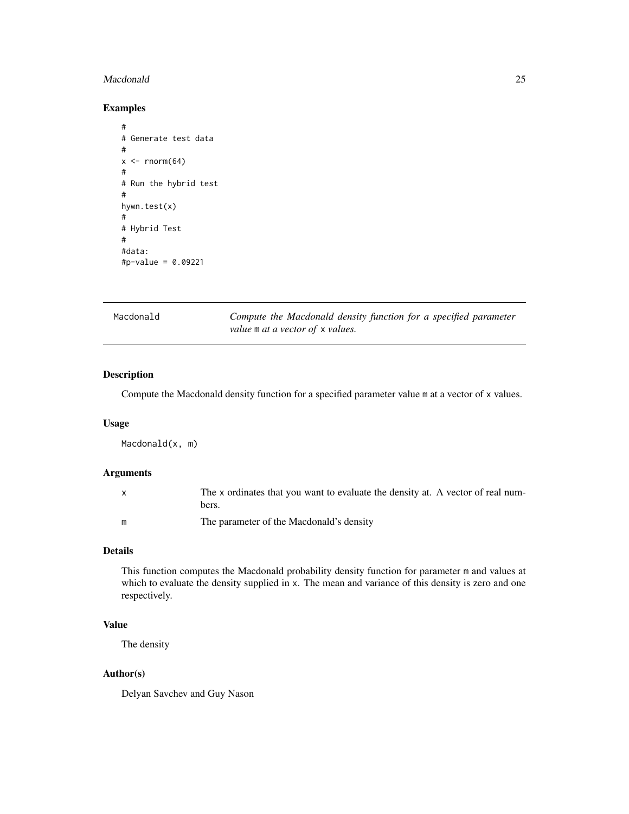#### <span id="page-24-0"></span>Macdonald 25

# Examples

```
#
# Generate test data
#
x \leftarrow \text{norm}(64)#
# Run the hybrid test
#
hywn.test(x)
#
# Hybrid Test
#
#data:
#p-value = 0.09221
```
<span id="page-24-1"></span>

| Macdonald | Compute the Macdonald density function for a specified parameter |
|-----------|------------------------------------------------------------------|
|           | value m at a vector of x values.                                 |

# Description

Compute the Macdonald density function for a specified parameter value m at a vector of x values.

# Usage

Macdonald(x, m)

# Arguments

| X. | The x ordinates that you want to evaluate the density at. A vector of real num-<br>bers. |
|----|------------------------------------------------------------------------------------------|
| m  | The parameter of the Macdonald's density                                                 |

# Details

This function computes the Macdonald probability density function for parameter m and values at which to evaluate the density supplied in x. The mean and variance of this density is zero and one respectively.

# Value

The density

# Author(s)

Delyan Savchev and Guy Nason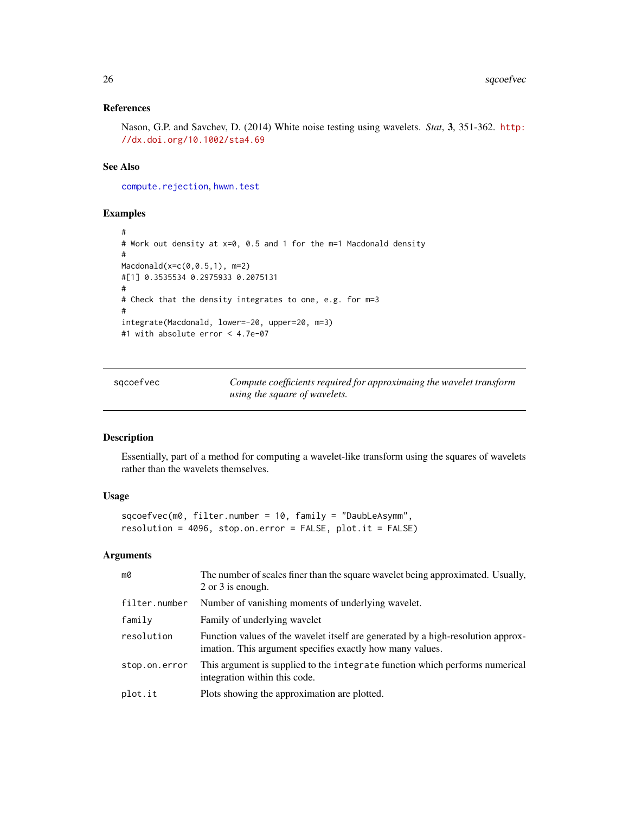# <span id="page-25-0"></span>References

Nason, G.P. and Savchev, D. (2014) White noise testing using wavelets. *Stat*, 3, 351-362. [http:](http://dx.doi.org/10.1002/sta4.69) [//dx.doi.org/10.1002/sta4.69](http://dx.doi.org/10.1002/sta4.69)

# See Also

[compute.rejection](#page-5-1), [hwwn.test](#page-18-1)

#### Examples

```
#
# Work out density at x=0, 0.5 and 1 for the m=1 Macdonald density
#
Macdonald(x=c(0,0.5,1), m=2)
#[1] 0.3535534 0.2975933 0.2075131
#
# Check that the density integrates to one, e.g. for m=3
#
integrate(Macdonald, lower=-20, upper=20, m=3)
#1 with absolute error < 4.7e-07
```
<span id="page-25-1"></span>sqcoefvec *Compute coefficients required for approximaing the wavelet transform using the square of wavelets.*

#### Description

Essentially, part of a method for computing a wavelet-like transform using the squares of wavelets rather than the wavelets themselves.

#### Usage

sqcoefvec(m0, filter.number = 10, family = "DaubLeAsymm", resolution = 4096, stop.on.error = FALSE, plot.it = FALSE)

| mØ            | The number of scales finer than the square wavelet being approximated. Usually,<br>2 or 3 is enough.                                          |
|---------------|-----------------------------------------------------------------------------------------------------------------------------------------------|
| filter.number | Number of vanishing moments of underlying wavelet.                                                                                            |
| family        | Family of underlying wavelet                                                                                                                  |
| resolution    | Function values of the wavelet itself are generated by a high-resolution approx-<br>imation. This argument specifies exactly how many values. |
| stop.on.error | This argument is supplied to the integrate function which performs numerical<br>integration within this code.                                 |
| plot.it       | Plots showing the approximation are plotted.                                                                                                  |
|               |                                                                                                                                               |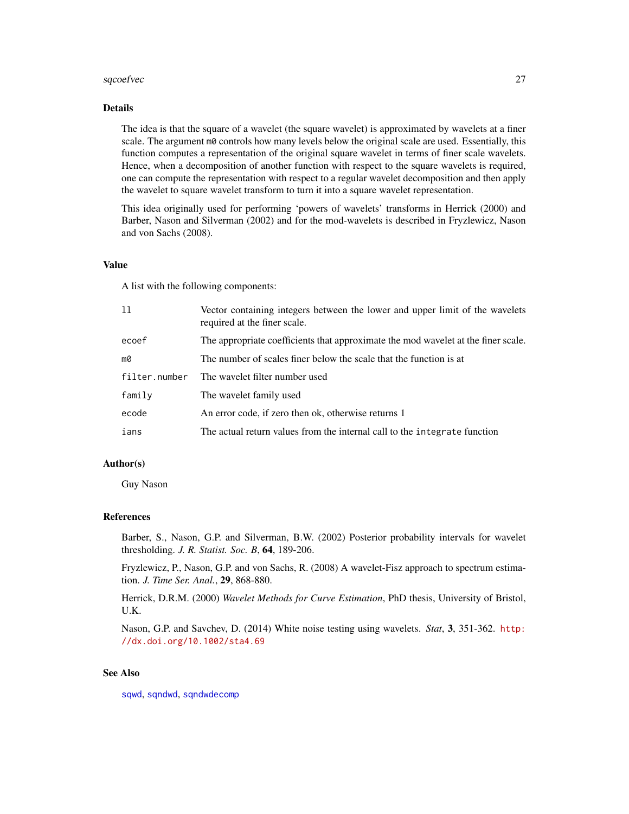#### <span id="page-26-0"></span>sqcoefvec 27

#### Details

The idea is that the square of a wavelet (the square wavelet) is approximated by wavelets at a finer scale. The argument m0 controls how many levels below the original scale are used. Essentially, this function computes a representation of the original square wavelet in terms of finer scale wavelets. Hence, when a decomposition of another function with respect to the square wavelets is required, one can compute the representation with respect to a regular wavelet decomposition and then apply the wavelet to square wavelet transform to turn it into a square wavelet representation.

This idea originally used for performing 'powers of wavelets' transforms in Herrick (2000) and Barber, Nason and Silverman (2002) and for the mod-wavelets is described in Fryzlewicz, Nason and von Sachs (2008).

## Value

A list with the following components:

| 11            | Vector containing integers between the lower and upper limit of the wavelets<br>required at the finer scale. |
|---------------|--------------------------------------------------------------------------------------------------------------|
| ecoef         | The appropriate coefficients that approximate the mod wavelet at the finer scale.                            |
| mØ            | The number of scales finer below the scale that the function is at                                           |
| filter.number | The wavelet filter number used                                                                               |
| family        | The wavelet family used                                                                                      |
| ecode         | An error code, if zero then ok, otherwise returns 1                                                          |
| ians          | The actual return values from the internal call to the integrate function                                    |

# Author(s)

Guy Nason

#### References

Barber, S., Nason, G.P. and Silverman, B.W. (2002) Posterior probability intervals for wavelet thresholding. *J. R. Statist. Soc. B*, 64, 189-206.

Fryzlewicz, P., Nason, G.P. and von Sachs, R. (2008) A wavelet-Fisz approach to spectrum estimation. *J. Time Ser. Anal.*, 29, 868-880.

Herrick, D.R.M. (2000) *Wavelet Methods for Curve Estimation*, PhD thesis, University of Bristol, U.K.

Nason, G.P. and Savchev, D. (2014) White noise testing using wavelets. *Stat*, 3, 351-362. [http:](http://dx.doi.org/10.1002/sta4.69) [//dx.doi.org/10.1002/sta4.69](http://dx.doi.org/10.1002/sta4.69)

#### See Also

[sqwd](#page-29-1), [sqndwd](#page-27-1), [sqndwdecomp](#page-28-1)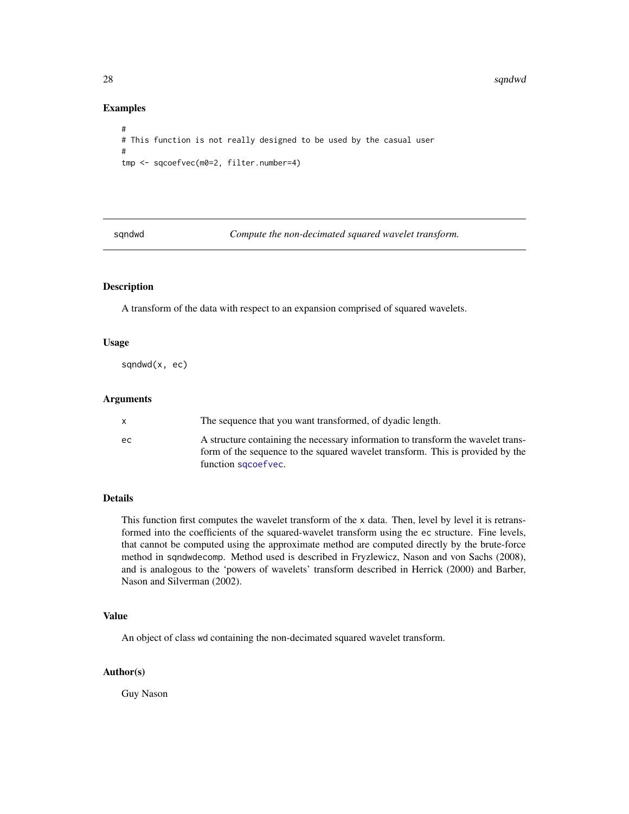#### Examples

```
#
# This function is not really designed to be used by the casual user
#
tmp <- sqcoefvec(m0=2, filter.number=4)
```
<span id="page-27-1"></span>sqndwd *Compute the non-decimated squared wavelet transform.*

#### Description

A transform of the data with respect to an expansion comprised of squared wavelets.

#### Usage

sqndwd(x, ec)

# Arguments

|     | The sequence that you want transformed, of dyadic length.                                                                                                                                 |
|-----|-------------------------------------------------------------------------------------------------------------------------------------------------------------------------------------------|
| ec. | A structure containing the necessary information to transform the wavelet trans-<br>form of the sequence to the squared wavelet transform. This is provided by the<br>function sqcoefvec. |

# Details

This function first computes the wavelet transform of the x data. Then, level by level it is retransformed into the coefficients of the squared-wavelet transform using the ec structure. Fine levels, that cannot be computed using the approximate method are computed directly by the brute-force method in sqndwdecomp. Method used is described in Fryzlewicz, Nason and von Sachs (2008), and is analogous to the 'powers of wavelets' transform described in Herrick (2000) and Barber, Nason and Silverman (2002).

# Value

An object of class wd containing the non-decimated squared wavelet transform.

#### Author(s)

Guy Nason

<span id="page-27-0"></span>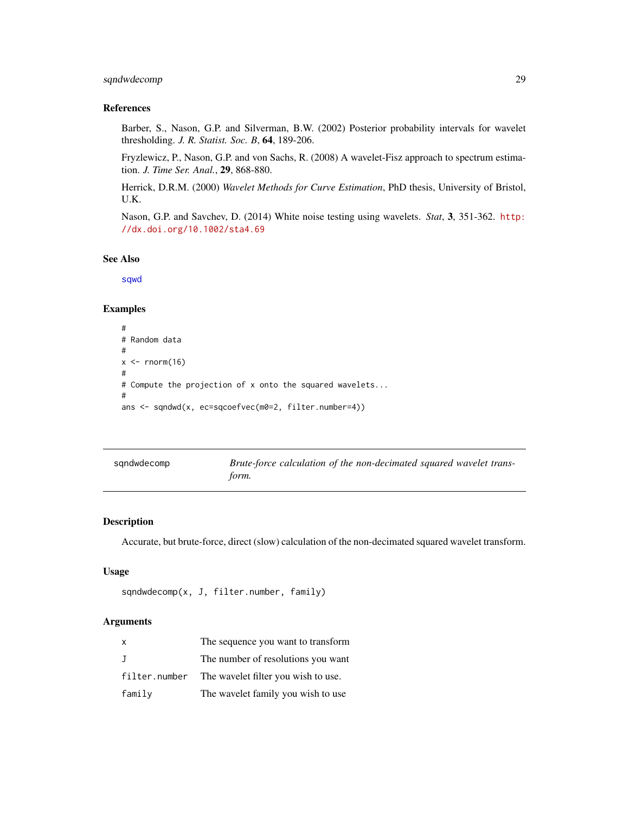# <span id="page-28-0"></span>sqndwdecomp 29

# References

Barber, S., Nason, G.P. and Silverman, B.W. (2002) Posterior probability intervals for wavelet thresholding. *J. R. Statist. Soc. B*, 64, 189-206.

Fryzlewicz, P., Nason, G.P. and von Sachs, R. (2008) A wavelet-Fisz approach to spectrum estimation. *J. Time Ser. Anal.*, 29, 868-880.

Herrick, D.R.M. (2000) *Wavelet Methods for Curve Estimation*, PhD thesis, University of Bristol, U.K.

Nason, G.P. and Savchev, D. (2014) White noise testing using wavelets. *Stat*, 3, 351-362. [http:](http://dx.doi.org/10.1002/sta4.69) [//dx.doi.org/10.1002/sta4.69](http://dx.doi.org/10.1002/sta4.69)

#### See Also

[sqwd](#page-29-1)

#### Examples

```
#
# Random data
#
x \leq -rnorm(16)#
# Compute the projection of x onto the squared wavelets...
#
ans <- sqndwd(x, ec=sqcoefvec(m0=2, filter.number=4))
```
<span id="page-28-1"></span>

| sandwdecomp | Brute-force calculation of the non-decimated squared wavelet trans- |
|-------------|---------------------------------------------------------------------|
|             | form.                                                               |

#### Description

Accurate, but brute-force, direct (slow) calculation of the non-decimated squared wavelet transform.

# Usage

```
sqndwdecomp(x, J, filter.number, family)
```

| $\mathsf{x}$ | The sequence you want to transform                |
|--------------|---------------------------------------------------|
| $\mathbf{J}$ | The number of resolutions you want                |
|              | filter.number The wavelet filter you wish to use. |
| family       | The wavelet family you wish to use                |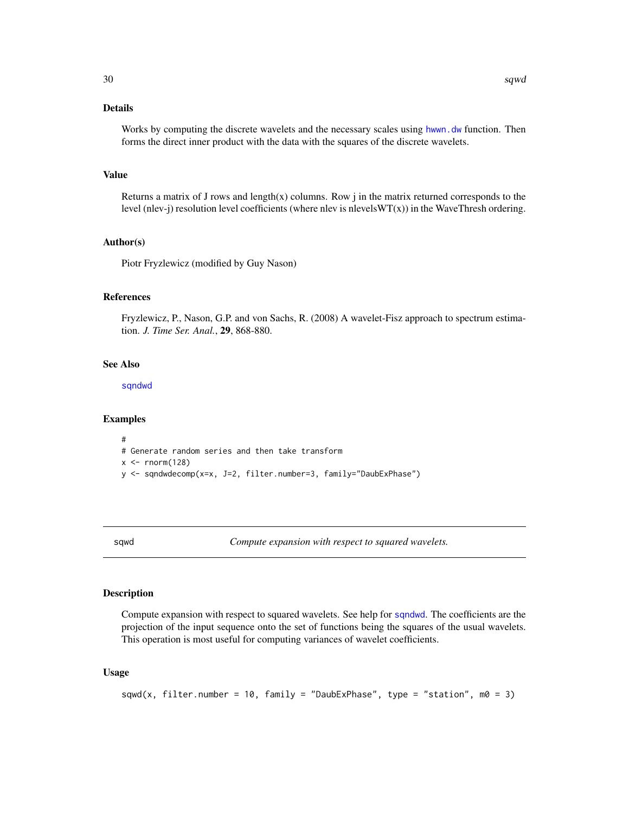# <span id="page-29-0"></span>Details

Works by computing the discrete wavelets and the necessary scales using [hwwn.dw](#page-17-1) function. Then forms the direct inner product with the data with the squares of the discrete wavelets.

# Value

Returns a matrix of J rows and length(x) columns. Row  $j$  in the matrix returned corresponds to the level (nlev-j) resolution level coefficients (where nlev is nlevels $WT(x)$ ) in the WaveThresh ordering.

# Author(s)

Piotr Fryzlewicz (modified by Guy Nason)

#### References

Fryzlewicz, P., Nason, G.P. and von Sachs, R. (2008) A wavelet-Fisz approach to spectrum estimation. *J. Time Ser. Anal.*, 29, 868-880.

# See Also

[sqndwd](#page-27-1)

# Examples

```
#
# Generate random series and then take transform
x \leftarrow \text{rnorm}(128)y <- sqndwdecomp(x=x, J=2, filter.number=3, family="DaubExPhase")
```
<span id="page-29-1"></span>sqwd *Compute expansion with respect to squared wavelets.*

# Description

Compute expansion with respect to squared wavelets. See help for [sqndwd](#page-27-1). The coefficients are the projection of the input sequence onto the set of functions being the squares of the usual wavelets. This operation is most useful for computing variances of wavelet coefficients.

#### Usage

```
sqwd(x, filter.number = 10, family = "DaubExPhase", type = "station", m0 = 3)
```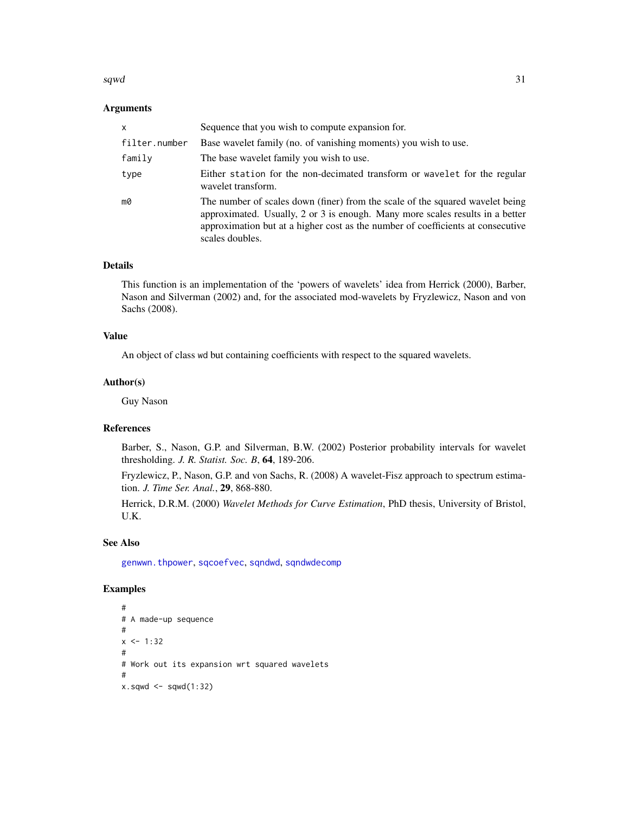#### <span id="page-30-0"></span> $s q w d$  31

#### Arguments

| x             | Sequence that you wish to compute expansion for.                                                                                                                                                                                                                     |
|---------------|----------------------------------------------------------------------------------------------------------------------------------------------------------------------------------------------------------------------------------------------------------------------|
| filter.number | Base wavelet family (no. of vanishing moments) you wish to use.                                                                                                                                                                                                      |
| family        | The base wavelet family you wish to use.                                                                                                                                                                                                                             |
| type          | Either station for the non-decimated transform or wavelet for the regular<br>wavelet transform.                                                                                                                                                                      |
| m0            | The number of scales down (finer) from the scale of the squared wavelet being<br>approximated. Usually, 2 or 3 is enough. Many more scales results in a better<br>approximation but at a higher cost as the number of coefficients at consecutive<br>scales doubles. |

# Details

This function is an implementation of the 'powers of wavelets' idea from Herrick (2000), Barber, Nason and Silverman (2002) and, for the associated mod-wavelets by Fryzlewicz, Nason and von Sachs (2008).

# Value

An object of class wd but containing coefficients with respect to the squared wavelets.

#### Author(s)

Guy Nason

#### References

Barber, S., Nason, G.P. and Silverman, B.W. (2002) Posterior probability intervals for wavelet thresholding. *J. R. Statist. Soc. B*, 64, 189-206.

Fryzlewicz, P., Nason, G.P. and von Sachs, R. (2008) A wavelet-Fisz approach to spectrum estimation. *J. Time Ser. Anal.*, 29, 868-880.

Herrick, D.R.M. (2000) *Wavelet Methods for Curve Estimation*, PhD thesis, University of Bristol, U.K.

#### See Also

[genwwn.thpower](#page-15-1), [sqcoefvec](#page-25-1), [sqndwd](#page-27-1), [sqndwdecomp](#page-28-1)

# Examples

```
#
# A made-up sequence
#
x < -1:32#
# Work out its expansion wrt squared wavelets
#
x.\text{sqwd} \leq -\text{sgwd}(1:32)
```